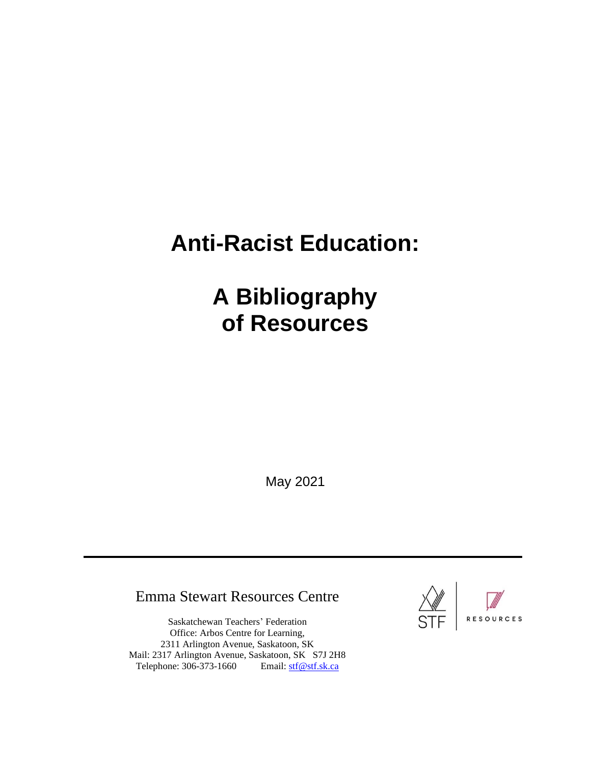# **Anti-Racist Education:**

# **A Bibliography of Resources**

May 2021

# Emma Stewart Resources Centre

Saskatchewan Teachers' Federation Office: Arbos Centre for Learning, 2311 Arlington Avenue, Saskatoon, SK Mail: 2317 Arlington Avenue, Saskatoon, SK S7J 2H8 Telephone: 306-373-1660 Email: [stf@stf.sk.ca](mailto:stf@stf.sk.ca)

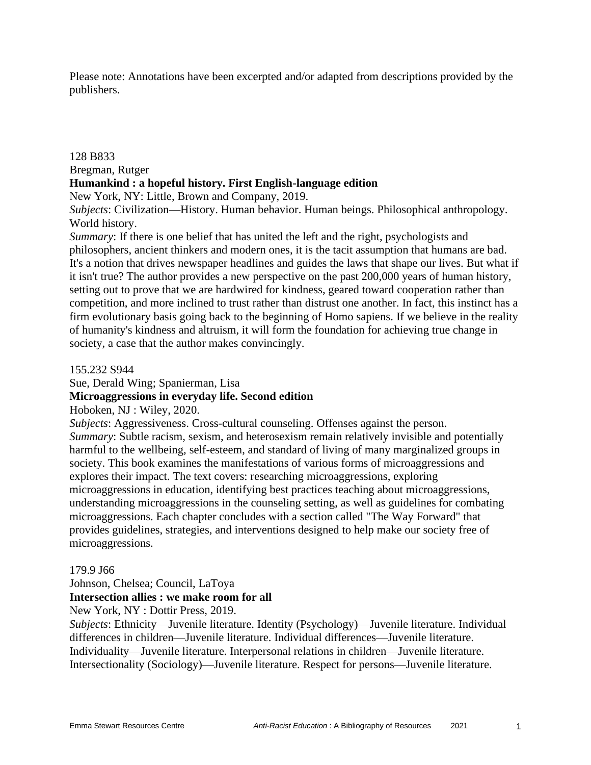Please note: Annotations have been excerpted and/or adapted from descriptions provided by the publishers.

#### 128 B833

#### Bregman, Rutger

#### **Humankind : a hopeful history. First English-language edition**

New York, NY: Little, Brown and Company, 2019.

*Subjects*: Civilization—History. Human behavior. Human beings. Philosophical anthropology. World history.

*Summary*: If there is one belief that has united the left and the right, psychologists and philosophers, ancient thinkers and modern ones, it is the tacit assumption that humans are bad. It's a notion that drives newspaper headlines and guides the laws that shape our lives. But what if it isn't true? The author provides a new perspective on the past 200,000 years of human history, setting out to prove that we are hardwired for kindness, geared toward cooperation rather than competition, and more inclined to trust rather than distrust one another. In fact, this instinct has a firm evolutionary basis going back to the beginning of Homo sapiens. If we believe in the reality of humanity's kindness and altruism, it will form the foundation for achieving true change in society, a case that the author makes convincingly.

155.232 S944

Sue, Derald Wing; Spanierman, Lisa

## **Microaggressions in everyday life. Second edition**

Hoboken, NJ : Wiley, 2020.

*Subjects*: Aggressiveness. Cross-cultural counseling. Offenses against the person. *Summary*: Subtle racism, sexism, and heterosexism remain relatively invisible and potentially harmful to the wellbeing, self-esteem, and standard of living of many marginalized groups in society. This book examines the manifestations of various forms of microaggressions and explores their impact. The text covers: researching microaggressions, exploring microaggressions in education, identifying best practices teaching about microaggressions, understanding microaggressions in the counseling setting, as well as guidelines for combating microaggressions. Each chapter concludes with a section called "The Way Forward" that provides guidelines, strategies, and interventions designed to help make our society free of microaggressions.

#### 179.9 J66

Johnson, Chelsea; Council, LaToya

#### **Intersection allies : we make room for all**

New York, NY : Dottir Press, 2019.

*Subjects*: Ethnicity—Juvenile literature. Identity (Psychology)—Juvenile literature. Individual differences in children—Juvenile literature. Individual differences—Juvenile literature. Individuality—Juvenile literature. Interpersonal relations in children—Juvenile literature. Intersectionality (Sociology)—Juvenile literature. Respect for persons—Juvenile literature.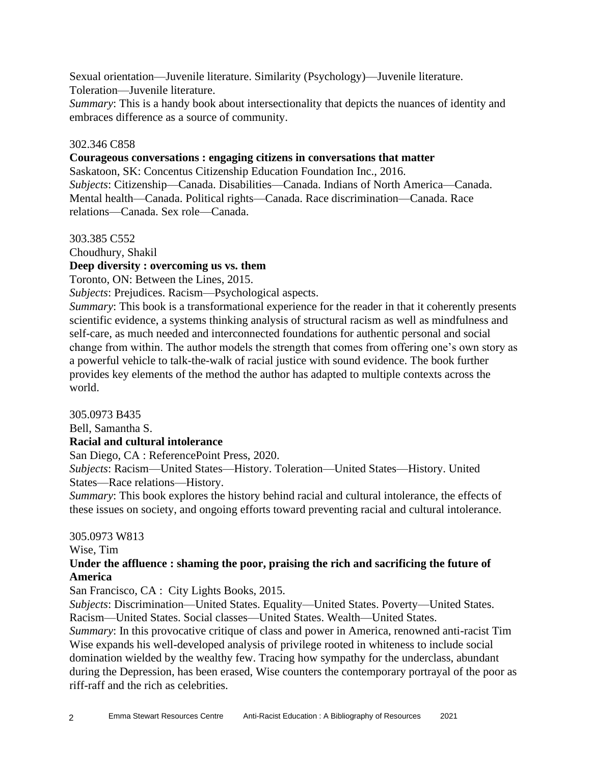Sexual orientation—Juvenile literature. Similarity (Psychology)—Juvenile literature. Toleration—Juvenile literature.

*Summary*: This is a handy book about intersectionality that depicts the nuances of identity and embraces difference as a source of community.

## 302.346 C858

#### **Courageous conversations : engaging citizens in conversations that matter**

Saskatoon, SK: Concentus Citizenship Education Foundation Inc., 2016. *Subjects*: Citizenship—Canada. Disabilities—Canada. Indians of North America—Canada. Mental health—Canada. Political rights—Canada. Race discrimination—Canada. Race relations—Canada. Sex role—Canada.

#### 303.385 C552

Choudhury, Shakil

#### **Deep diversity : overcoming us vs. them**

Toronto, ON: Between the Lines, 2015.

*Subjects*: Prejudices. Racism—Psychological aspects.

*Summary*: This book is a transformational experience for the reader in that it coherently presents scientific evidence, a systems thinking analysis of structural racism as well as mindfulness and self-care, as much needed and interconnected foundations for authentic personal and social change from within. The author models the strength that comes from offering one's own story as a powerful vehicle to talk-the-walk of racial justice with sound evidence. The book further provides key elements of the method the author has adapted to multiple contexts across the world.

305.0973 B435 Bell, Samantha S. **Racial and cultural intolerance**

San Diego, CA : ReferencePoint Press, 2020.

*Subjects*: Racism—United States—History. Toleration—United States—History. United States—Race relations—History.

*Summary*: This book explores the history behind racial and cultural intolerance, the effects of these issues on society, and ongoing efforts toward preventing racial and cultural intolerance.

#### 305.0973 W813

Wise, Tim

## **Under the affluence : shaming the poor, praising the rich and sacrificing the future of America**

San Francisco, CA : City Lights Books, 2015.

*Subjects*: Discrimination—United States. Equality—United States. Poverty—United States. Racism—United States. Social classes—United States. Wealth—United States.

*Summary*: In this provocative critique of class and power in America, renowned anti-racist Tim Wise expands his well-developed analysis of privilege rooted in whiteness to include social domination wielded by the wealthy few. Tracing how sympathy for the underclass, abundant during the Depression, has been erased, Wise counters the contemporary portrayal of the poor as riff-raff and the rich as celebrities.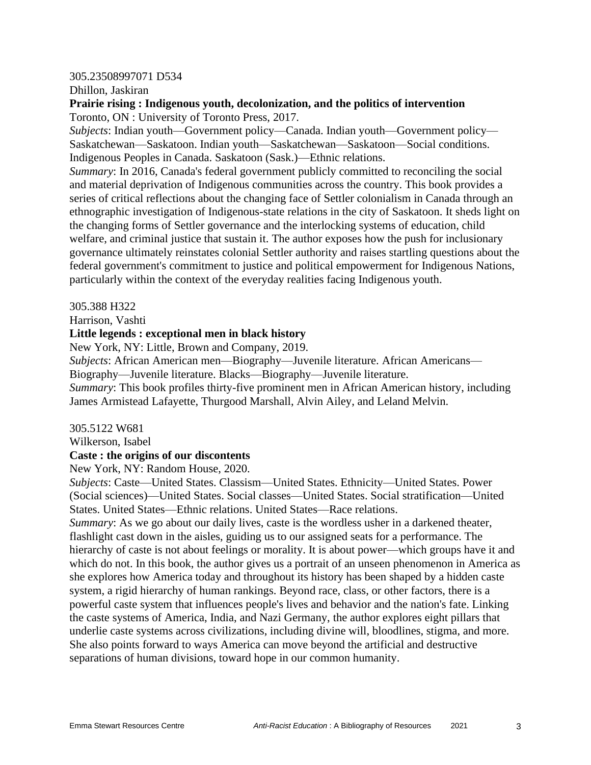#### 305.23508997071 D534

Dhillon, Jaskiran

## **Prairie rising : Indigenous youth, decolonization, and the politics of intervention** Toronto, ON : University of Toronto Press, 2017.

*Subjects*: Indian youth—Government policy—Canada. Indian youth—Government policy— Saskatchewan—Saskatoon. Indian youth—Saskatchewan—Saskatoon—Social conditions. Indigenous Peoples in Canada. Saskatoon (Sask.)—Ethnic relations.

*Summary*: In 2016, Canada's federal government publicly committed to reconciling the social and material deprivation of Indigenous communities across the country. This book provides a series of critical reflections about the changing face of Settler colonialism in Canada through an ethnographic investigation of Indigenous-state relations in the city of Saskatoon. It sheds light on the changing forms of Settler governance and the interlocking systems of education, child welfare, and criminal justice that sustain it. The author exposes how the push for inclusionary governance ultimately reinstates colonial Settler authority and raises startling questions about the federal government's commitment to justice and political empowerment for Indigenous Nations, particularly within the context of the everyday realities facing Indigenous youth.

305.388 H322

Harrison, Vashti

## **Little legends : exceptional men in black history**

New York, NY: Little, Brown and Company, 2019.

*Subjects*: African American men—Biography—Juvenile literature. African Americans— Biography—Juvenile literature. Blacks—Biography—Juvenile literature.

*Summary*: This book profiles thirty-five prominent men in African American history, including James Armistead Lafayette, Thurgood Marshall, Alvin Ailey, and Leland Melvin.

305.5122 W681

Wilkerson, Isabel

#### **Caste : the origins of our discontents**

New York, NY: Random House, 2020.

*Subjects*: Caste—United States. Classism—United States. Ethnicity—United States. Power (Social sciences)—United States. Social classes—United States. Social stratification—United States. United States—Ethnic relations. United States—Race relations.

*Summary*: As we go about our daily lives, caste is the wordless usher in a darkened theater, flashlight cast down in the aisles, guiding us to our assigned seats for a performance. The hierarchy of caste is not about feelings or morality. It is about power—which groups have it and which do not. In this book, the author gives us a portrait of an unseen phenomenon in America as she explores how America today and throughout its history has been shaped by a hidden caste system, a rigid hierarchy of human rankings. Beyond race, class, or other factors, there is a powerful caste system that influences people's lives and behavior and the nation's fate. Linking the caste systems of America, India, and Nazi Germany, the author explores eight pillars that underlie caste systems across civilizations, including divine will, bloodlines, stigma, and more. She also points forward to ways America can move beyond the artificial and destructive separations of human divisions, toward hope in our common humanity.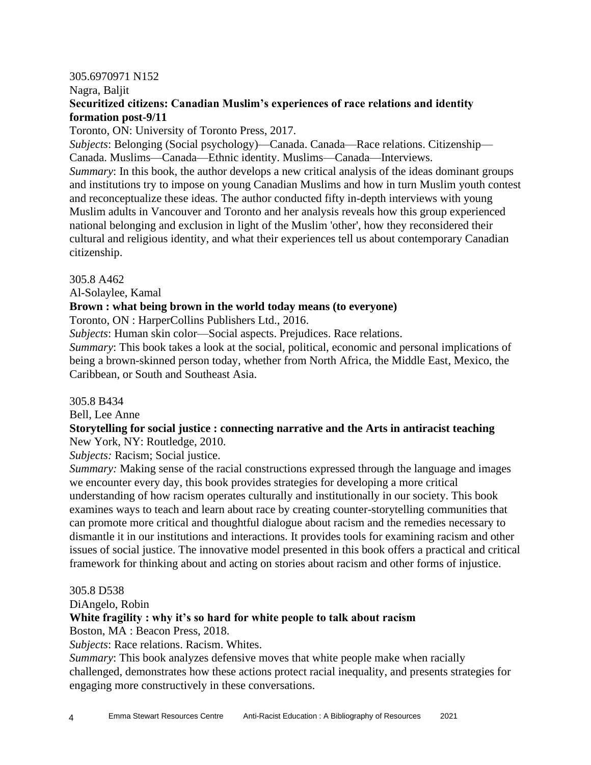#### 305.6970971 N152

Nagra, Baljit

## **Securitized citizens: Canadian Muslim's experiences of race relations and identity formation post-9/11**

Toronto, ON: University of Toronto Press, 2017.

*Subjects*: Belonging (Social psychology)—Canada. Canada—Race relations. Citizenship— Canada. Muslims—Canada—Ethnic identity. Muslims—Canada—Interviews. *Summary*: In this book, the author develops a new critical analysis of the ideas dominant groups and institutions try to impose on young Canadian Muslims and how in turn Muslim youth contest and reconceptualize these ideas. The author conducted fifty in-depth interviews with young Muslim adults in Vancouver and Toronto and her analysis reveals how this group experienced national belonging and exclusion in light of the Muslim 'other', how they reconsidered their cultural and religious identity, and what their experiences tell us about contemporary Canadian citizenship.

#### 305.8 A462

Al-Solaylee, Kamal

## **Brown : what being brown in the world today means (to everyone)**

Toronto, ON : HarperCollins Publishers Ltd., 2016.

*Subjects*: Human skin color—Social aspects. Prejudices. Race relations.

*Summary*: This book takes a look at the social, political, economic and personal implications of being a brown-skinned person today, whether from North Africa, the Middle East, Mexico, the Caribbean, or South and Southeast Asia.

#### 305.8 B434

Bell, Lee Anne

## **Storytelling for social justice : connecting narrative and the Arts in antiracist teaching** New York, NY: Routledge, 2010.

*Subjects:* Racism; Social justice.

*Summary:* Making sense of the racial constructions expressed through the language and images we encounter every day, this book provides strategies for developing a more critical understanding of how racism operates culturally and institutionally in our society. This book examines ways to teach and learn about race by creating counter-storytelling communities that can promote more critical and thoughtful dialogue about racism and the remedies necessary to dismantle it in our institutions and interactions. It provides tools for examining racism and other issues of social justice. The innovative model presented in this book offers a practical and critical framework for thinking about and acting on stories about racism and other forms of injustice.

#### 305.8 D538

DiAngelo, Robin

## **White fragility : why it's so hard for white people to talk about racism**

Boston, MA : Beacon Press, 2018.

*Subjects*: Race relations. Racism. Whites.

*Summary*: This book analyzes defensive moves that white people make when racially challenged, demonstrates how these actions protect racial inequality, and presents strategies for engaging more constructively in these conversations.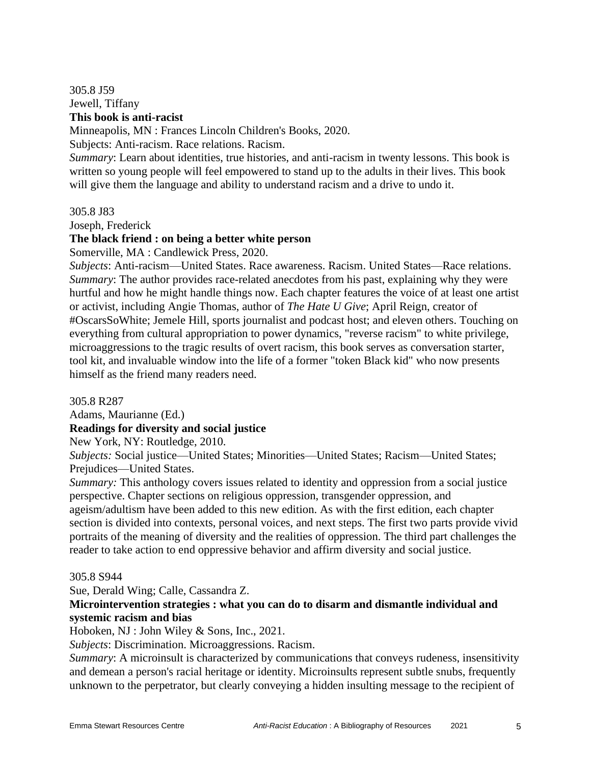305.8 J59 Jewell, Tiffany **This book is anti-racist**

Minneapolis, MN : Frances Lincoln Children's Books, 2020.

Subjects: Anti-racism. Race relations. Racism.

*Summary*: Learn about identities, true histories, and anti-racism in twenty lessons. This book is written so young people will feel empowered to stand up to the adults in their lives. This book will give them the language and ability to understand racism and a drive to undo it.

305.8 J83

Joseph, Frederick

#### **The black friend : on being a better white person**

Somerville, MA : Candlewick Press, 2020.

*Subjects*: Anti-racism—United States. Race awareness. Racism. United States—Race relations. *Summary*: The author provides race-related anecdotes from his past, explaining why they were hurtful and how he might handle things now. Each chapter features the voice of at least one artist or activist, including Angie Thomas, author of *The Hate U Give*; April Reign, creator of #OscarsSoWhite; Jemele Hill, sports journalist and podcast host; and eleven others. Touching on everything from cultural appropriation to power dynamics, "reverse racism" to white privilege, microaggressions to the tragic results of overt racism, this book serves as conversation starter, tool kit, and invaluable window into the life of a former "token Black kid" who now presents himself as the friend many readers need.

305.8 R287

Adams, Maurianne (Ed.)

**Readings for diversity and social justice**

New York, NY: Routledge, 2010.

*Subjects:* Social justice—United States; Minorities—United States; Racism—United States; Prejudices—United States.

*Summary:* This anthology covers issues related to identity and oppression from a social justice perspective. Chapter sections on religious oppression, transgender oppression, and ageism/adultism have been added to this new edition. As with the first edition, each chapter section is divided into contexts, personal voices, and next steps. The first two parts provide vivid portraits of the meaning of diversity and the realities of oppression. The third part challenges the reader to take action to end oppressive behavior and affirm diversity and social justice.

305.8 S944

Sue, Derald Wing; Calle, Cassandra Z.

## **Microintervention strategies : what you can do to disarm and dismantle individual and systemic racism and bias**

Hoboken, NJ : John Wiley & Sons, Inc., 2021.

*Subjects*: Discrimination. Microaggressions. Racism.

*Summary*: A microinsult is characterized by communications that conveys rudeness, insensitivity and demean a person's racial heritage or identity. Microinsults represent subtle snubs, frequently unknown to the perpetrator, but clearly conveying a hidden insulting message to the recipient of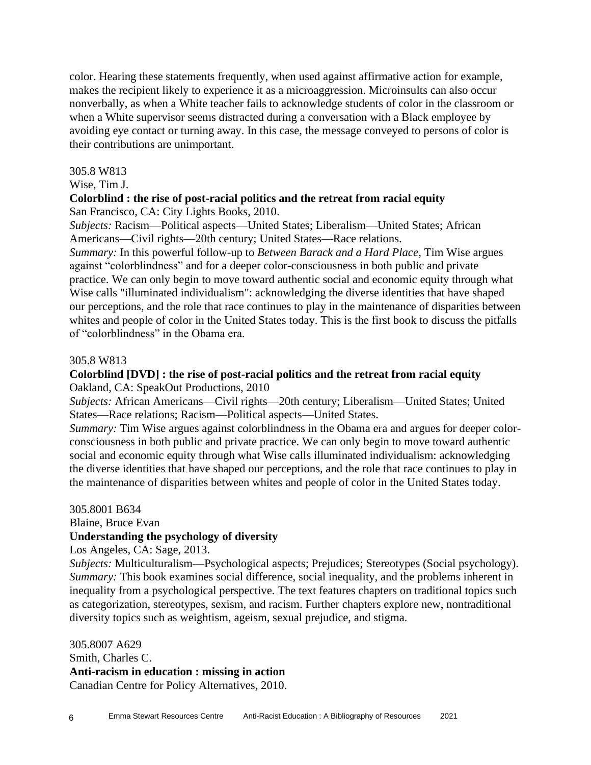color. Hearing these statements frequently, when used against affirmative action for example, makes the recipient likely to experience it as a microaggression. Microinsults can also occur nonverbally, as when a White teacher fails to acknowledge students of color in the classroom or when a White supervisor seems distracted during a conversation with a Black employee by avoiding eye contact or turning away. In this case, the message conveyed to persons of color is their contributions are unimportant.

#### 305.8 W813

## Wise, Tim J.

# **Colorblind : the rise of post-racial politics and the retreat from racial equity**

San Francisco, CA: City Lights Books, 2010.

*Subjects:* Racism—Political aspects—United States; Liberalism—United States; African Americans—Civil rights—20th century; United States—Race relations.

*Summary:* In this powerful follow-up to *Between Barack and a Hard Place*, Tim Wise argues against "colorblindness" and for a deeper color-consciousness in both public and private practice. We can only begin to move toward authentic social and economic equity through what Wise calls "illuminated individualism": acknowledging the diverse identities that have shaped our perceptions, and the role that race continues to play in the maintenance of disparities between whites and people of color in the United States today. This is the first book to discuss the pitfalls of "colorblindness" in the Obama era.

## 305.8 W813

## **Colorblind [DVD] : the rise of post-racial politics and the retreat from racial equity** Oakland, CA: SpeakOut Productions, 2010

*Subjects:* African Americans—Civil rights—20th century; Liberalism—United States; United States—Race relations; Racism—Political aspects—United States.

*Summary:* Tim Wise argues against colorblindness in the Obama era and argues for deeper colorconsciousness in both public and private practice. We can only begin to move toward authentic social and economic equity through what Wise calls illuminated individualism: acknowledging the diverse identities that have shaped our perceptions, and the role that race continues to play in the maintenance of disparities between whites and people of color in the United States today.

#### 305.8001 B634

Blaine, Bruce Evan

## **Understanding the psychology of diversity**

Los Angeles, CA: Sage, 2013.

*Subjects:* Multiculturalism—Psychological aspects; Prejudices; Stereotypes (Social psychology). *Summary:* This book examines social difference, social inequality, and the problems inherent in inequality from a psychological perspective. The text features chapters on traditional topics such as categorization, stereotypes, sexism, and racism. Further chapters explore new, nontraditional diversity topics such as weightism, ageism, sexual prejudice, and stigma.

305.8007 A629 Smith, Charles C. **Anti-racism in education : missing in action** Canadian Centre for Policy Alternatives, 2010.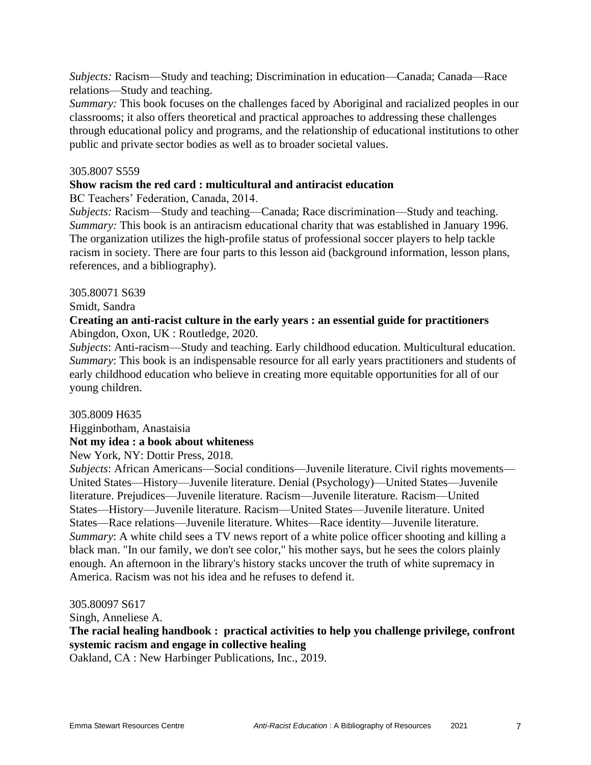*Subjects:* Racism—Study and teaching; Discrimination in education—Canada; Canada—Race relations—Study and teaching.

*Summary:* This book focuses on the challenges faced by Aboriginal and racialized peoples in our classrooms; it also offers theoretical and practical approaches to addressing these challenges through educational policy and programs, and the relationship of educational institutions to other public and private sector bodies as well as to broader societal values.

#### 305.8007 S559

#### **Show racism the red card : multicultural and antiracist education**

BC Teachers' Federation, Canada, 2014.

*Subjects:* Racism—Study and teaching—Canada; Race discrimination—Study and teaching. *Summary:* This book is an antiracism educational charity that was established in January 1996. The organization utilizes the high-profile status of professional soccer players to help tackle racism in society. There are four parts to this lesson aid (background information, lesson plans, references, and a bibliography).

305.80071 S639

Smidt, Sandra

## **Creating an anti-racist culture in the early years : an essential guide for practitioners** Abingdon, Oxon, UK : Routledge, 2020.

*Subjects*: Anti-racism—Study and teaching. Early childhood education. Multicultural education. *Summary*: This book is an indispensable resource for all early years practitioners and students of early childhood education who believe in creating more equitable opportunities for all of our young children.

#### 305.8009 H635

Higginbotham, Anastaisia

## **Not my idea : a book about whiteness**

New York, NY: Dottir Press, 2018.

*Subjects*: African Americans—Social conditions—Juvenile literature. Civil rights movements— United States—History—Juvenile literature. Denial (Psychology)—United States—Juvenile literature. Prejudices—Juvenile literature. Racism—Juvenile literature. Racism—United States—History—Juvenile literature. Racism—United States—Juvenile literature. United States—Race relations—Juvenile literature. Whites—Race identity—Juvenile literature. *Summary*: A white child sees a TV news report of a white police officer shooting and killing a black man. "In our family, we don't see color," his mother says, but he sees the colors plainly enough. An afternoon in the library's history stacks uncover the truth of white supremacy in America. Racism was not his idea and he refuses to defend it.

305.80097 S617

Singh, Anneliese A.

**The racial healing handbook : practical activities to help you challenge privilege, confront systemic racism and engage in collective healing**

Oakland, CA : New Harbinger Publications, Inc., 2019.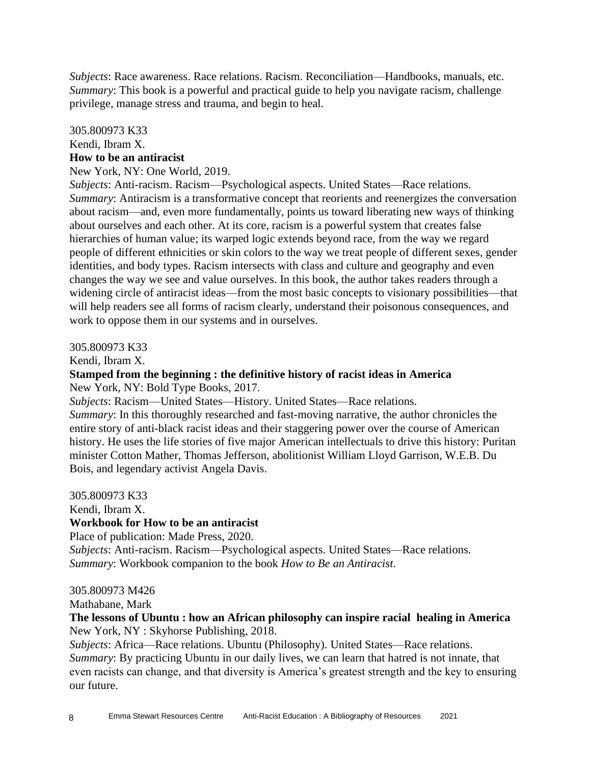*Subjects*: Race awareness. Race relations. Racism. Reconciliation—Handbooks, manuals, etc. *Summary*: This book is a powerful and practical guide to help you navigate racism, challenge privilege, manage stress and trauma, and begin to heal.

## 305.800973 K33 Kendi, Ibram X. **How to be an antiracist**

#### New York, NY: One World, 2019.

*Subjects*: Anti-racism. Racism—Psychological aspects. United States—Race relations. *Summary*: Antiracism is a transformative concept that reorients and reenergizes the conversation about racism—and, even more fundamentally, points us toward liberating new ways of thinking about ourselves and each other. At its core, racism is a powerful system that creates false hierarchies of human value; its warped logic extends beyond race, from the way we regard people of different ethnicities or skin colors to the way we treat people of different sexes, gender identities, and body types. Racism intersects with class and culture and geography and even changes the way we see and value ourselves. In this book, the author takes readers through a widening circle of antiracist ideas—from the most basic concepts to visionary possibilities—that will help readers see all forms of racism clearly, understand their poisonous consequences, and work to oppose them in our systems and in ourselves.

305.800973 K33

Kendi, Ibram X.

#### **Stamped from the beginning : the definitive history of racist ideas in America** New York, NY: Bold Type Books, 2017.

*Subjects*: Racism—United States—History. United States—Race relations.

*Summary*: In this thoroughly researched and fast-moving narrative, the author chronicles the entire story of anti-black racist ideas and their staggering power over the course of American history. He uses the life stories of five major American intellectuals to drive this history: Puritan minister Cotton Mather, Thomas Jefferson, abolitionist William Lloyd Garrison, W.E.B. Du Bois, and legendary activist Angela Davis.

305.800973 K33

Kendi, Ibram X.

## **Workbook for How to be an antiracist**

Place of publication: Made Press, 2020. *Subjects*: Anti-racism. Racism—Psychological aspects. United States—Race relations. *Summary*: Workbook companion to the book *How to Be an Antiracist*.

#### 305.800973 M426

Mathabane, Mark

#### **The lessons of Ubuntu : how an African philosophy can inspire racial healing in America** New York, NY : Skyhorse Publishing, 2018.

*Subjects*: Africa—Race relations. Ubuntu (Philosophy). United States—Race relations. *Summary*: By practicing Ubuntu in our daily lives, we can learn that hatred is not innate, that even racists can change, and that diversity is America's greatest strength and the key to ensuring our future.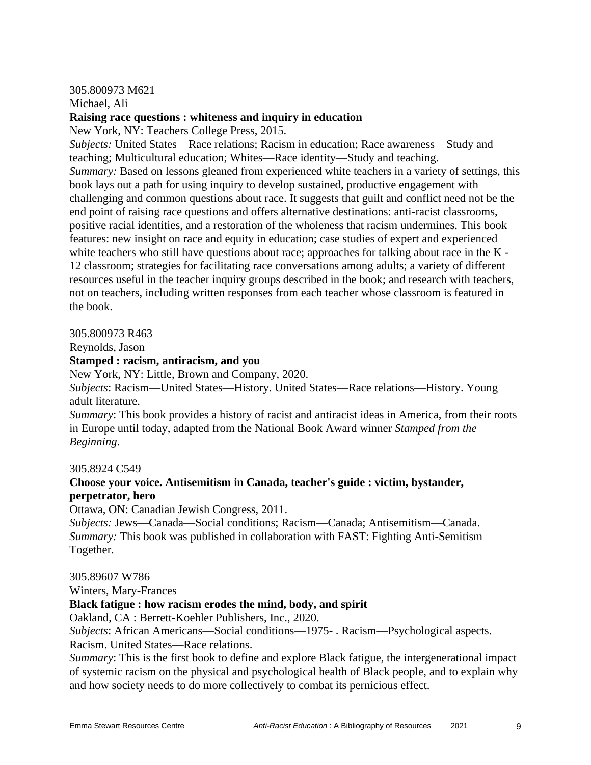## 305.800973 M621

Michael, Ali

## **Raising race questions : whiteness and inquiry in education**

New York, NY: Teachers College Press, 2015.

*Subjects:* United States—Race relations; Racism in education; Race awareness—Study and teaching; Multicultural education; Whites—Race identity—Study and teaching. *Summary:* Based on lessons gleaned from experienced white teachers in a variety of settings, this book lays out a path for using inquiry to develop sustained, productive engagement with challenging and common questions about race. It suggests that guilt and conflict need not be the end point of raising race questions and offers alternative destinations: anti-racist classrooms, positive racial identities, and a restoration of the wholeness that racism undermines. This book features: new insight on race and equity in education; case studies of expert and experienced white teachers who still have questions about race; approaches for talking about race in the K -12 classroom; strategies for facilitating race conversations among adults; a variety of different resources useful in the teacher inquiry groups described in the book; and research with teachers, not on teachers, including written responses from each teacher whose classroom is featured in the book.

#### 305.800973 R463

Reynolds, Jason

## **Stamped : racism, antiracism, and you**

New York, NY: Little, Brown and Company, 2020.

*Subjects*: Racism—United States—History. United States—Race relations—History. Young adult literature.

*Summary*: This book provides a history of racist and antiracist ideas in America, from their roots in Europe until today, adapted from the National Book Award winner *Stamped from the Beginning*.

#### 305.8924 C549

## **Choose your voice. Antisemitism in Canada, teacher's guide : victim, bystander, perpetrator, hero**

Ottawa, ON: Canadian Jewish Congress, 2011.

*Subjects:* Jews—Canada—Social conditions; Racism—Canada; Antisemitism—Canada. *Summary:* This book was published in collaboration with FAST: Fighting Anti-Semitism Together.

305.89607 W786

Winters, Mary-Frances

## **Black fatigue : how racism erodes the mind, body, and spirit**

Oakland, CA : Berrett-Koehler Publishers, Inc., 2020.

*Subjects*: African Americans—Social conditions—1975- . Racism—Psychological aspects. Racism. United States—Race relations.

*Summary*: This is the first book to define and explore Black fatigue, the intergenerational impact of systemic racism on the physical and psychological health of Black people, and to explain why and how society needs to do more collectively to combat its pernicious effect.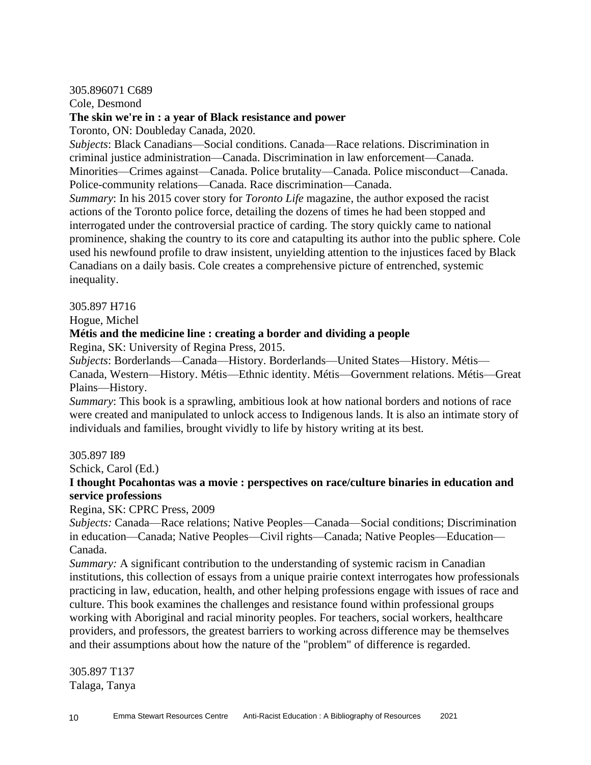305.896071 C689

Cole, Desmond

## **The skin we're in : a year of Black resistance and power**

Toronto, ON: Doubleday Canada, 2020.

*Subjects*: Black Canadians—Social conditions. Canada—Race relations. Discrimination in criminal justice administration—Canada. Discrimination in law enforcement—Canada. Minorities—Crimes against—Canada. Police brutality—Canada. Police misconduct—Canada. Police-community relations—Canada. Race discrimination—Canada.

*Summary*: In his 2015 cover story for *Toronto Life* magazine, the author exposed the racist actions of the Toronto police force, detailing the dozens of times he had been stopped and interrogated under the controversial practice of carding. The story quickly came to national prominence, shaking the country to its core and catapulting its author into the public sphere. Cole used his newfound profile to draw insistent, unyielding attention to the injustices faced by Black Canadians on a daily basis. Cole creates a comprehensive picture of entrenched, systemic inequality.

305.897 H716

Hogue, Michel

## **Métis and the medicine line : creating a border and dividing a people**

Regina, SK: University of Regina Press, 2015.

*Subjects*: Borderlands—Canada—History. Borderlands—United States—History. Métis— Canada, Western—History. Métis—Ethnic identity. Métis—Government relations. Métis—Great Plains—History.

*Summary*: This book is a sprawling, ambitious look at how national borders and notions of race were created and manipulated to unlock access to Indigenous lands. It is also an intimate story of individuals and families, brought vividly to life by history writing at its best.

305.897 I89

Schick, Carol (Ed.)

## **I thought Pocahontas was a movie : perspectives on race/culture binaries in education and service professions**

Regina, SK: CPRC Press, 2009

*Subjects:* Canada—Race relations; Native Peoples—Canada—Social conditions; Discrimination in education—Canada; Native Peoples—Civil rights—Canada; Native Peoples—Education— Canada.

*Summary:* A significant contribution to the understanding of systemic racism in Canadian institutions, this collection of essays from a unique prairie context interrogates how professionals practicing in law, education, health, and other helping professions engage with issues of race and culture. This book examines the challenges and resistance found within professional groups working with Aboriginal and racial minority peoples. For teachers, social workers, healthcare providers, and professors, the greatest barriers to working across difference may be themselves and their assumptions about how the nature of the "problem" of difference is regarded.

305.897 T137 Talaga, Tanya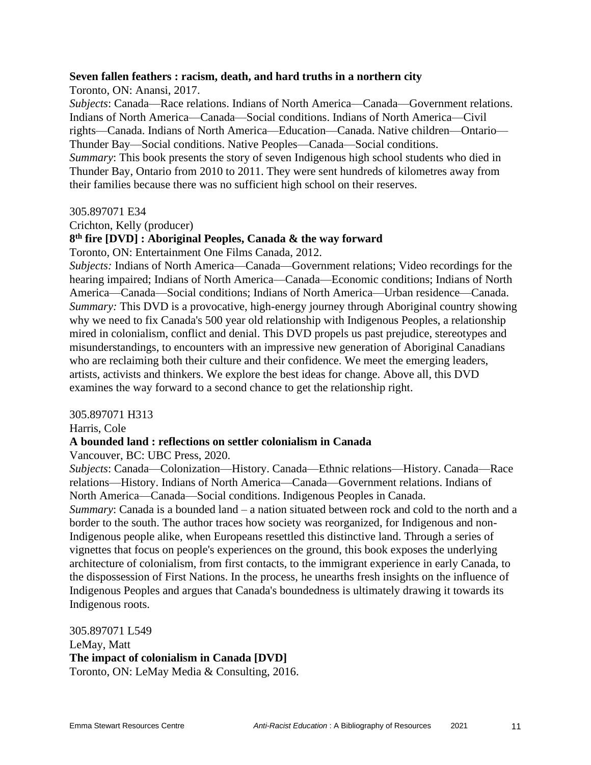#### **Seven fallen feathers : racism, death, and hard truths in a northern city**

Toronto, ON: Anansi, 2017.

*Subjects*: Canada—Race relations. Indians of North America—Canada—Government relations. Indians of North America—Canada—Social conditions. Indians of North America—Civil rights—Canada. Indians of North America—Education—Canada. Native children—Ontario— Thunder Bay—Social conditions. Native Peoples—Canada—Social conditions.

*Summary*: This book presents the story of seven Indigenous high school students who died in Thunder Bay, Ontario from 2010 to 2011. They were sent hundreds of kilometres away from their families because there was no sufficient high school on their reserves.

#### 305.897071 E34

Crichton, Kelly (producer)

#### **8 th fire [DVD] : Aboriginal Peoples, Canada & the way forward**

Toronto, ON: Entertainment One Films Canada, 2012.

*Subjects:* Indians of North America—Canada—Government relations; Video recordings for the hearing impaired; Indians of North America—Canada—Economic conditions; Indians of North America—Canada—Social conditions; Indians of North America—Urban residence—Canada. *Summary:* This DVD is a provocative, high-energy journey through Aboriginal country showing why we need to fix Canada's 500 year old relationship with Indigenous Peoples, a relationship mired in colonialism, conflict and denial. This DVD propels us past prejudice, stereotypes and misunderstandings, to encounters with an impressive new generation of Aboriginal Canadians who are reclaiming both their culture and their confidence. We meet the emerging leaders, artists, activists and thinkers. We explore the best ideas for change. Above all, this DVD examines the way forward to a second chance to get the relationship right.

#### 305.897071 H313

Harris, Cole

#### **A bounded land : reflections on settler colonialism in Canada**

Vancouver, BC: UBC Press, 2020.

*Subjects*: Canada—Colonization—History. Canada—Ethnic relations—History. Canada—Race relations—History. Indians of North America—Canada—Government relations. Indians of North America—Canada—Social conditions. Indigenous Peoples in Canada.

*Summary*: Canada is a bounded land – a nation situated between rock and cold to the north and a border to the south. The author traces how society was reorganized, for Indigenous and non-Indigenous people alike, when Europeans resettled this distinctive land. Through a series of vignettes that focus on people's experiences on the ground, this book exposes the underlying architecture of colonialism, from first contacts, to the immigrant experience in early Canada, to the dispossession of First Nations. In the process, he unearths fresh insights on the influence of Indigenous Peoples and argues that Canada's boundedness is ultimately drawing it towards its Indigenous roots.

305.897071 L549 LeMay, Matt **The impact of colonialism in Canada [DVD]** Toronto, ON: LeMay Media & Consulting, 2016.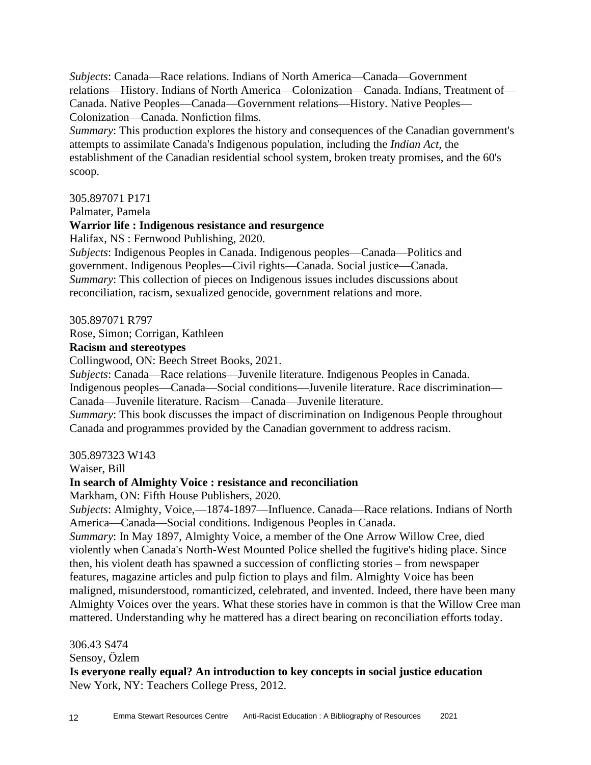*Subjects*: Canada—Race relations. Indians of North America—Canada—Government relations—History. Indians of North America—Colonization—Canada. Indians, Treatment of— Canada. Native Peoples—Canada—Government relations—History. Native Peoples— Colonization—Canada. Nonfiction films.

*Summary*: This production explores the history and consequences of the Canadian government's attempts to assimilate Canada's Indigenous population, including the *Indian Act*, the establishment of the Canadian residential school system, broken treaty promises, and the 60's scoop.

## 305.897071 P171

Palmater, Pamela

#### **Warrior life : Indigenous resistance and resurgence**

Halifax, NS : Fernwood Publishing, 2020.

*Subjects*: Indigenous Peoples in Canada. Indigenous peoples—Canada—Politics and government. Indigenous Peoples—Civil rights—Canada. Social justice—Canada. *Summary*: This collection of pieces on Indigenous issues includes discussions about reconciliation, racism, sexualized genocide, government relations and more.

305.897071 R797

#### Rose, Simon; Corrigan, Kathleen

#### **Racism and stereotypes**

Collingwood, ON: Beech Street Books, 2021.

*Subjects*: Canada—Race relations—Juvenile literature. Indigenous Peoples in Canada.

Indigenous peoples—Canada—Social conditions—Juvenile literature. Race discrimination— Canada—Juvenile literature. Racism—Canada—Juvenile literature.

*Summary*: This book discusses the impact of discrimination on Indigenous People throughout Canada and programmes provided by the Canadian government to address racism.

#### 305.897323 W143

Waiser, Bill

#### **In search of Almighty Voice : resistance and reconciliation**

Markham, ON: Fifth House Publishers, 2020.

*Subjects*: Almighty, Voice,—1874-1897—Influence. Canada—Race relations. Indians of North America—Canada—Social conditions. Indigenous Peoples in Canada.

*Summary*: In May 1897, Almighty Voice, a member of the One Arrow Willow Cree, died violently when Canada's North-West Mounted Police shelled the fugitive's hiding place. Since then, his violent death has spawned a succession of conflicting stories – from newspaper features, magazine articles and pulp fiction to plays and film. Almighty Voice has been maligned, misunderstood, romanticized, celebrated, and invented. Indeed, there have been many Almighty Voices over the years. What these stories have in common is that the Willow Cree man mattered. Understanding why he mattered has a direct bearing on reconciliation efforts today.

306.43 S474

Sensoy, Özlem

**Is everyone really equal? An introduction to key concepts in social justice education** New York, NY: Teachers College Press, 2012.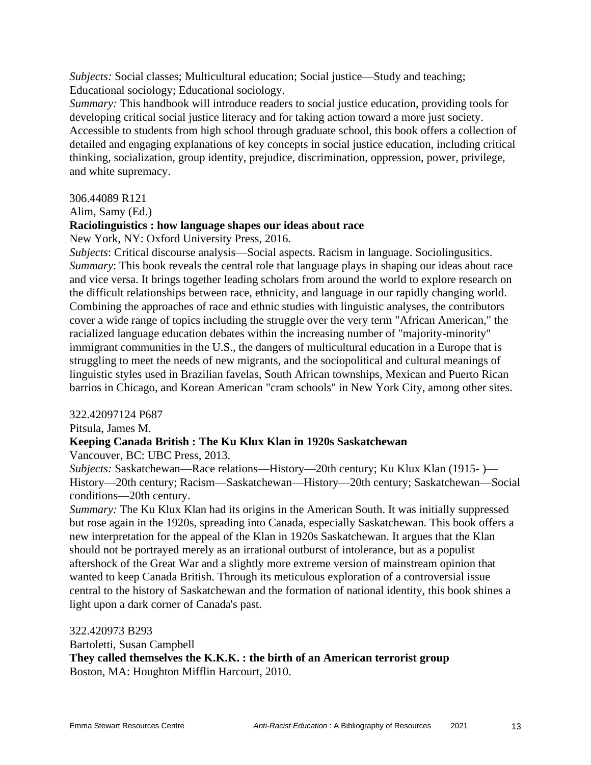*Subjects:* Social classes; Multicultural education; Social justice—Study and teaching; Educational sociology; Educational sociology.

*Summary:* This handbook will introduce readers to social justice education, providing tools for developing critical social justice literacy and for taking action toward a more just society. Accessible to students from high school through graduate school, this book offers a collection of detailed and engaging explanations of key concepts in social justice education, including critical thinking, socialization, group identity, prejudice, discrimination, oppression, power, privilege, and white supremacy.

#### 306.44089 R121

#### Alim, Samy (Ed.)

#### **Raciolinguistics : how language shapes our ideas about race**

New York, NY: Oxford University Press, 2016.

*Subjects*: Critical discourse analysis—Social aspects. Racism in language. Sociolingusitics. *Summary*: This book reveals the central role that language plays in shaping our ideas about race and vice versa. It brings together leading scholars from around the world to explore research on the difficult relationships between race, ethnicity, and language in our rapidly changing world. Combining the approaches of race and ethnic studies with linguistic analyses, the contributors cover a wide range of topics including the struggle over the very term "African American," the racialized language education debates within the increasing number of "majority-minority" immigrant communities in the U.S., the dangers of multicultural education in a Europe that is struggling to meet the needs of new migrants, and the sociopolitical and cultural meanings of linguistic styles used in Brazilian favelas, South African townships, Mexican and Puerto Rican barrios in Chicago, and Korean American "cram schools" in New York City, among other sites.

#### 322.42097124 P687

Pitsula, James M.

#### **Keeping Canada British : The Ku Klux Klan in 1920s Saskatchewan**

Vancouver, BC: UBC Press, 2013.

*Subjects:* Saskatchewan—Race relations—History—20th century; Ku Klux Klan (1915- )— History—20th century; Racism—Saskatchewan—History—20th century; Saskatchewan—Social conditions—20th century.

*Summary:* The Ku Klux Klan had its origins in the American South. It was initially suppressed but rose again in the 1920s, spreading into Canada, especially Saskatchewan. This book offers a new interpretation for the appeal of the Klan in 1920s Saskatchewan. It argues that the Klan should not be portrayed merely as an irrational outburst of intolerance, but as a populist aftershock of the Great War and a slightly more extreme version of mainstream opinion that wanted to keep Canada British. Through its meticulous exploration of a controversial issue central to the history of Saskatchewan and the formation of national identity, this book shines a light upon a dark corner of Canada's past.

322.420973 B293

Bartoletti, Susan Campbell

**They called themselves the K.K.K. : the birth of an American terrorist group** Boston, MA: Houghton Mifflin Harcourt, 2010.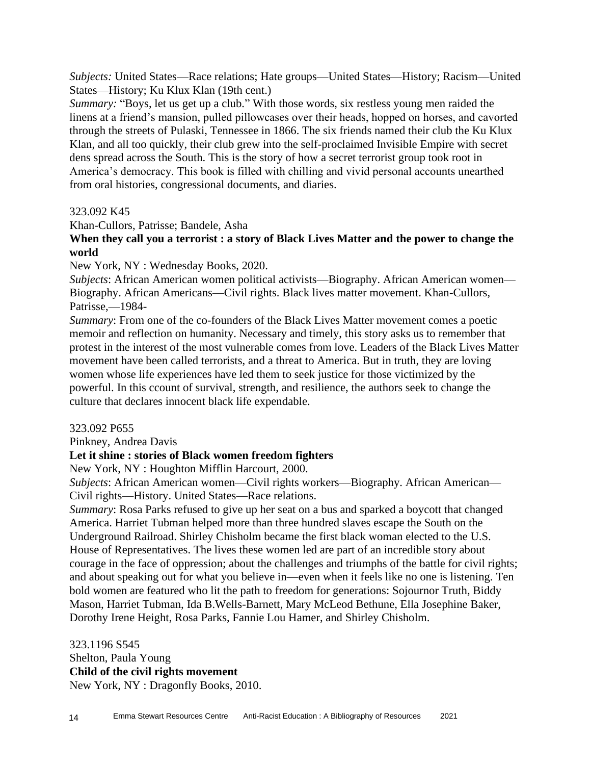*Subjects:* United States—Race relations; Hate groups—United States—History; Racism—United States—History; Ku Klux Klan (19th cent.)

*Summary:* "Boys, let us get up a club." With those words, six restless young men raided the linens at a friend's mansion, pulled pillowcases over their heads, hopped on horses, and cavorted through the streets of Pulaski, Tennessee in 1866. The six friends named their club the Ku Klux Klan, and all too quickly, their club grew into the self-proclaimed Invisible Empire with secret dens spread across the South. This is the story of how a secret terrorist group took root in America's democracy. This book is filled with chilling and vivid personal accounts unearthed from oral histories, congressional documents, and diaries.

#### 323.092 K45

Khan-Cullors, Patrisse; Bandele, Asha

**When they call you a terrorist : a story of Black Lives Matter and the power to change the world**

New York, NY : Wednesday Books, 2020.

*Subjects*: African American women political activists—Biography. African American women— Biography. African Americans—Civil rights. Black lives matter movement. Khan-Cullors, Patrisse,—1984-

*Summary*: From one of the co-founders of the Black Lives Matter movement comes a poetic memoir and reflection on humanity. Necessary and timely, this story asks us to remember that protest in the interest of the most vulnerable comes from love. Leaders of the Black Lives Matter movement have been called terrorists, and a threat to America. But in truth, they are loving women whose life experiences have led them to seek justice for those victimized by the powerful. In this ccount of survival, strength, and resilience, the authors seek to change the culture that declares innocent black life expendable.

#### 323.092 P655

Pinkney, Andrea Davis

#### **Let it shine : stories of Black women freedom fighters**

New York, NY : Houghton Mifflin Harcourt, 2000.

*Subjects*: African American women—Civil rights workers—Biography. African American— Civil rights—History. United States—Race relations.

*Summary*: Rosa Parks refused to give up her seat on a bus and sparked a boycott that changed America. Harriet Tubman helped more than three hundred slaves escape the South on the Underground Railroad. Shirley Chisholm became the first black woman elected to the U.S. House of Representatives. The lives these women led are part of an incredible story about courage in the face of oppression; about the challenges and triumphs of the battle for civil rights; and about speaking out for what you believe in—even when it feels like no one is listening. Ten bold women are featured who lit the path to freedom for generations: Sojournor Truth, Biddy Mason, Harriet Tubman, Ida B.Wells-Barnett, Mary McLeod Bethune, Ella Josephine Baker, Dorothy Irene Height, Rosa Parks, Fannie Lou Hamer, and Shirley Chisholm.

323.1196 S545 Shelton, Paula Young **Child of the civil rights movement** New York, NY : Dragonfly Books, 2010.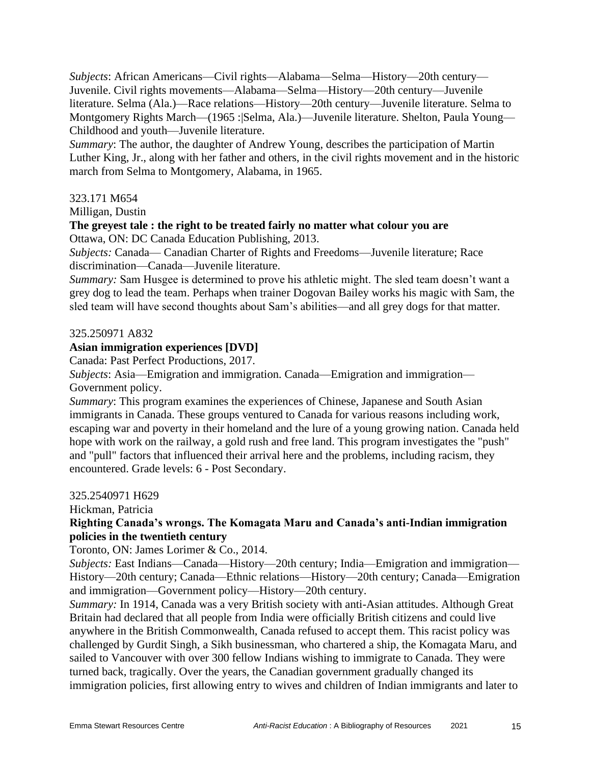*Subjects*: African Americans—Civil rights—Alabama—Selma—History—20th century— Juvenile. Civil rights movements—Alabama—Selma—History—20th century—Juvenile literature. Selma (Ala.)—Race relations—History—20th century—Juvenile literature. Selma to Montgomery Rights March—(1965 : Selma, Ala.)—Juvenile literature. Shelton, Paula Young— Childhood and youth—Juvenile literature.

*Summary*: The author, the daughter of Andrew Young, describes the participation of Martin Luther King, Jr., along with her father and others, in the civil rights movement and in the historic march from Selma to Montgomery, Alabama, in 1965.

#### 323.171 M654

Milligan, Dustin

# **The greyest tale : the right to be treated fairly no matter what colour you are**

Ottawa, ON: DC Canada Education Publishing, 2013.

*Subjects:* Canada— Canadian Charter of Rights and Freedoms—Juvenile literature; Race discrimination—Canada—Juvenile literature.

*Summary:* Sam Husgee is determined to prove his athletic might. The sled team doesn't want a grey dog to lead the team. Perhaps when trainer Dogovan Bailey works his magic with Sam, the sled team will have second thoughts about Sam's abilities—and all grey dogs for that matter.

## 325.250971 A832

## **Asian immigration experiences [DVD]**

Canada: Past Perfect Productions, 2017.

*Subjects*: Asia—Emigration and immigration. Canada—Emigration and immigration— Government policy.

*Summary*: This program examines the experiences of Chinese, Japanese and South Asian immigrants in Canada. These groups ventured to Canada for various reasons including work, escaping war and poverty in their homeland and the lure of a young growing nation. Canada held hope with work on the railway, a gold rush and free land. This program investigates the "push" and "pull" factors that influenced their arrival here and the problems, including racism, they encountered. Grade levels: 6 - Post Secondary.

#### 325.2540971 H629

Hickman, Patricia

## **Righting Canada's wrongs. The Komagata Maru and Canada's anti-Indian immigration policies in the twentieth century**

Toronto, ON: James Lorimer & Co., 2014.

*Subjects:* East Indians—Canada—History—20th century; India—Emigration and immigration— History—20th century; Canada—Ethnic relations—History—20th century; Canada—Emigration and immigration—Government policy—History—20th century.

*Summary:* In 1914, Canada was a very British society with anti-Asian attitudes. Although Great Britain had declared that all people from India were officially British citizens and could live anywhere in the British Commonwealth, Canada refused to accept them. This racist policy was challenged by Gurdit Singh, a Sikh businessman, who chartered a ship, the Komagata Maru, and sailed to Vancouver with over 300 fellow Indians wishing to immigrate to Canada. They were turned back, tragically. Over the years, the Canadian government gradually changed its immigration policies, first allowing entry to wives and children of Indian immigrants and later to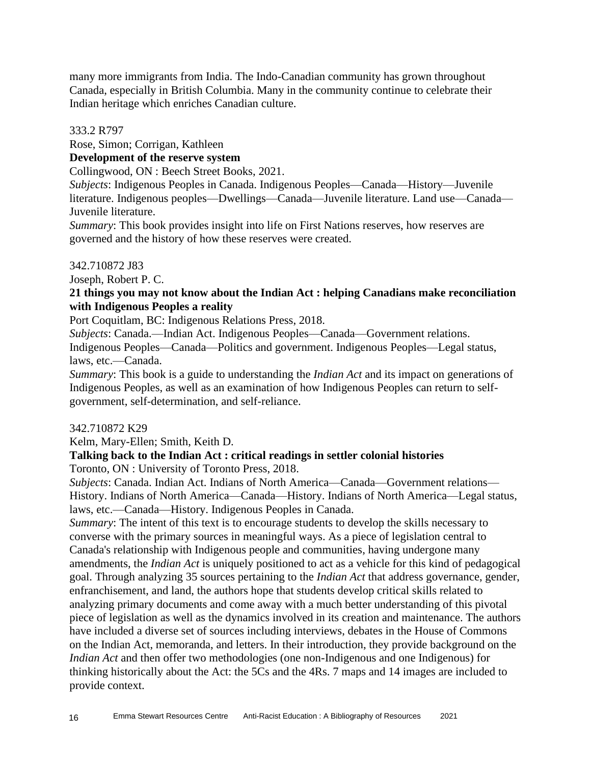many more immigrants from India. The Indo-Canadian community has grown throughout Canada, especially in British Columbia. Many in the community continue to celebrate their Indian heritage which enriches Canadian culture.

333.2 R797

Rose, Simon; Corrigan, Kathleen

## **Development of the reserve system**

Collingwood, ON : Beech Street Books, 2021.

*Subjects*: Indigenous Peoples in Canada. Indigenous Peoples—Canada—History—Juvenile literature. Indigenous peoples—Dwellings—Canada—Juvenile literature. Land use—Canada— Juvenile literature.

*Summary*: This book provides insight into life on First Nations reserves, how reserves are governed and the history of how these reserves were created.

#### 342.710872 J83

Joseph, Robert P. C.

## **21 things you may not know about the Indian Act : helping Canadians make reconciliation with Indigenous Peoples a reality**

Port Coquitlam, BC: Indigenous Relations Press, 2018.

*Subjects*: Canada.—Indian Act. Indigenous Peoples—Canada—Government relations. Indigenous Peoples—Canada—Politics and government. Indigenous Peoples—Legal status, laws, etc.—Canada.

*Summary*: This book is a guide to understanding the *Indian Act* and its impact on generations of Indigenous Peoples, as well as an examination of how Indigenous Peoples can return to selfgovernment, self-determination, and self-reliance.

#### 342.710872 K29

Kelm, Mary-Ellen; Smith, Keith D.

## **Talking back to the Indian Act : critical readings in settler colonial histories**

Toronto, ON : University of Toronto Press, 2018.

*Subjects*: Canada. Indian Act. Indians of North America—Canada—Government relations— History. Indians of North America—Canada—History. Indians of North America—Legal status, laws, etc.—Canada—History. Indigenous Peoples in Canada.

*Summary*: The intent of this text is to encourage students to develop the skills necessary to converse with the primary sources in meaningful ways. As a piece of legislation central to Canada's relationship with Indigenous people and communities, having undergone many amendments, the *Indian Act* is uniquely positioned to act as a vehicle for this kind of pedagogical goal. Through analyzing 35 sources pertaining to the *Indian Act* that address governance, gender, enfranchisement, and land, the authors hope that students develop critical skills related to analyzing primary documents and come away with a much better understanding of this pivotal piece of legislation as well as the dynamics involved in its creation and maintenance. The authors have included a diverse set of sources including interviews, debates in the House of Commons on the Indian Act, memoranda, and letters. In their introduction, they provide background on the *Indian Act* and then offer two methodologies (one non-Indigenous and one Indigenous) for thinking historically about the Act: the 5Cs and the 4Rs. 7 maps and 14 images are included to provide context.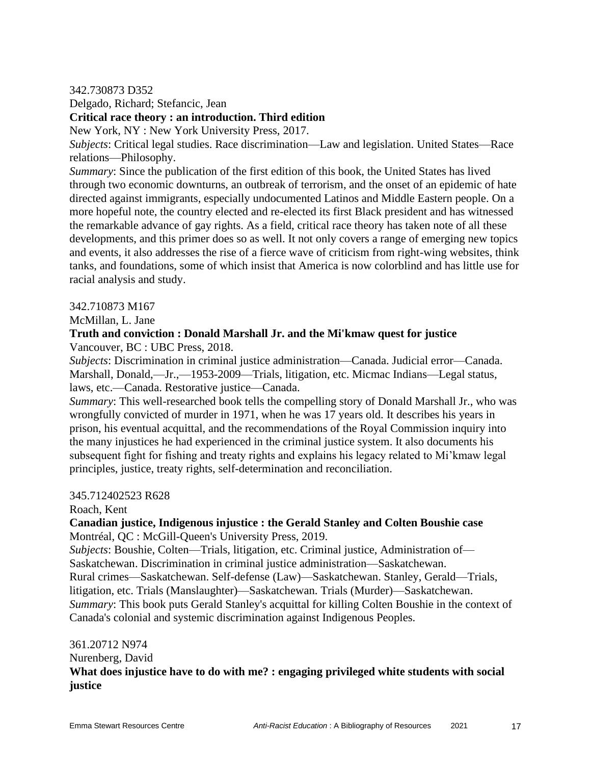#### 342.730873 D352

Delgado, Richard; Stefancic, Jean

#### **Critical race theory : an introduction. Third edition**

New York, NY : New York University Press, 2017.

*Subjects*: Critical legal studies. Race discrimination—Law and legislation. United States—Race relations—Philosophy.

*Summary*: Since the publication of the first edition of this book, the United States has lived through two economic downturns, an outbreak of terrorism, and the onset of an epidemic of hate directed against immigrants, especially undocumented Latinos and Middle Eastern people. On a more hopeful note, the country elected and re-elected its first Black president and has witnessed the remarkable advance of gay rights. As a field, critical race theory has taken note of all these developments, and this primer does so as well. It not only covers a range of emerging new topics and events, it also addresses the rise of a fierce wave of criticism from right-wing websites, think tanks, and foundations, some of which insist that America is now colorblind and has little use for racial analysis and study.

#### 342.710873 M167

McMillan, L. Jane

## **Truth and conviction : Donald Marshall Jr. and the Mi'kmaw quest for justice** Vancouver, BC : UBC Press, 2018.

*Subjects*: Discrimination in criminal justice administration—Canada. Judicial error—Canada. Marshall, Donald,—Jr.,—1953-2009—Trials, litigation, etc. Micmac Indians—Legal status, laws, etc.—Canada. Restorative justice—Canada.

*Summary*: This well-researched book tells the compelling story of Donald Marshall Jr., who was wrongfully convicted of murder in 1971, when he was 17 years old. It describes his years in prison, his eventual acquittal, and the recommendations of the Royal Commission inquiry into the many injustices he had experienced in the criminal justice system. It also documents his subsequent fight for fishing and treaty rights and explains his legacy related to Mi'kmaw legal principles, justice, treaty rights, self-determination and reconciliation.

#### 345.712402523 R628

Roach, Kent

#### **Canadian justice, Indigenous injustice : the Gerald Stanley and Colten Boushie case** Montréal, QC : McGill-Queen's University Press, 2019.

*Subjects*: Boushie, Colten—Trials, litigation, etc. Criminal justice, Administration of— Saskatchewan. Discrimination in criminal justice administration—Saskatchewan. Rural crimes—Saskatchewan. Self-defense (Law)—Saskatchewan. Stanley, Gerald—Trials, litigation, etc. Trials (Manslaughter)—Saskatchewan. Trials (Murder)—Saskatchewan. *Summary*: This book puts Gerald Stanley's acquittal for killing Colten Boushie in the context of Canada's colonial and systemic discrimination against Indigenous Peoples.

#### 361.20712 N974

Nurenberg, David

## **What does injustice have to do with me? : engaging privileged white students with social justice**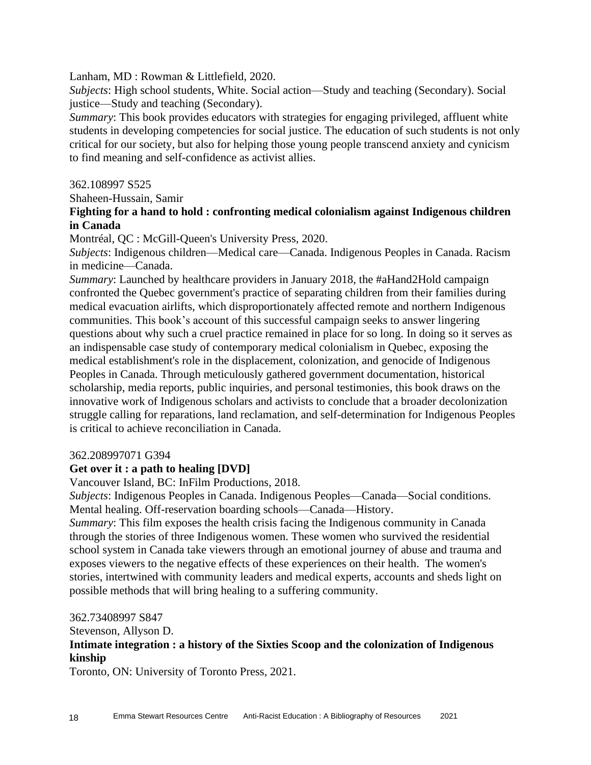Lanham, MD : Rowman & Littlefield, 2020.

*Subjects*: High school students, White. Social action—Study and teaching (Secondary). Social justice—Study and teaching (Secondary).

*Summary*: This book provides educators with strategies for engaging privileged, affluent white students in developing competencies for social justice. The education of such students is not only critical for our society, but also for helping those young people transcend anxiety and cynicism to find meaning and self-confidence as activist allies.

362.108997 S525

Shaheen-Hussain, Samir

## **Fighting for a hand to hold : confronting medical colonialism against Indigenous children in Canada**

Montréal, QC : McGill-Queen's University Press, 2020.

*Subjects*: Indigenous children—Medical care—Canada. Indigenous Peoples in Canada. Racism in medicine—Canada.

*Summary*: Launched by healthcare providers in January 2018, the #aHand2Hold campaign confronted the Quebec government's practice of separating children from their families during medical evacuation airlifts, which disproportionately affected remote and northern Indigenous communities. This book's account of this successful campaign seeks to answer lingering questions about why such a cruel practice remained in place for so long. In doing so it serves as an indispensable case study of contemporary medical colonialism in Quebec, exposing the medical establishment's role in the displacement, colonization, and genocide of Indigenous Peoples in Canada. Through meticulously gathered government documentation, historical scholarship, media reports, public inquiries, and personal testimonies, this book draws on the innovative work of Indigenous scholars and activists to conclude that a broader decolonization struggle calling for reparations, land reclamation, and self-determination for Indigenous Peoples is critical to achieve reconciliation in Canada.

#### 362.208997071 G394

## **Get over it : a path to healing [DVD]**

Vancouver Island, BC: InFilm Productions, 2018.

*Subjects*: Indigenous Peoples in Canada. Indigenous Peoples—Canada—Social conditions. Mental healing. Off-reservation boarding schools—Canada—History.

*Summary*: This film exposes the health crisis facing the Indigenous community in Canada through the stories of three Indigenous women. These women who survived the residential school system in Canada take viewers through an emotional journey of abuse and trauma and exposes viewers to the negative effects of these experiences on their health. The women's stories, intertwined with community leaders and medical experts, accounts and sheds light on possible methods that will bring healing to a suffering community.

362.73408997 S847

Stevenson, Allyson D.

## **Intimate integration : a history of the Sixties Scoop and the colonization of Indigenous kinship**

Toronto, ON: University of Toronto Press, 2021.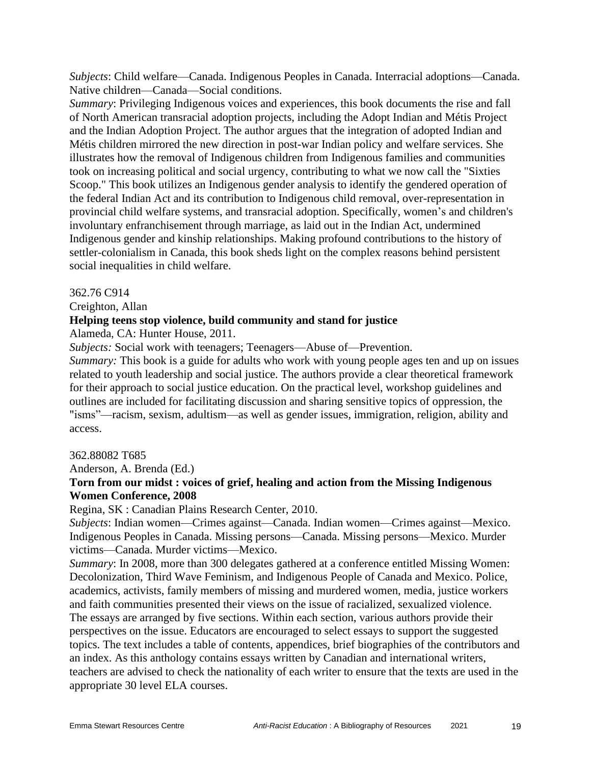*Subjects*: Child welfare—Canada. Indigenous Peoples in Canada. Interracial adoptions—Canada. Native children—Canada—Social conditions.

*Summary*: Privileging Indigenous voices and experiences, this book documents the rise and fall of North American transracial adoption projects, including the Adopt Indian and Métis Project and the Indian Adoption Project. The author argues that the integration of adopted Indian and Métis children mirrored the new direction in post-war Indian policy and welfare services. She illustrates how the removal of Indigenous children from Indigenous families and communities took on increasing political and social urgency, contributing to what we now call the "Sixties Scoop." This book utilizes an Indigenous gender analysis to identify the gendered operation of the federal Indian Act and its contribution to Indigenous child removal, over-representation in provincial child welfare systems, and transracial adoption. Specifically, women's and children's involuntary enfranchisement through marriage, as laid out in the Indian Act, undermined Indigenous gender and kinship relationships. Making profound contributions to the history of settler-colonialism in Canada, this book sheds light on the complex reasons behind persistent social inequalities in child welfare.

#### 362.76 C914

Creighton, Allan

#### **Helping teens stop violence, build community and stand for justice**

Alameda, CA: Hunter House, 2011.

*Subjects:* Social work with teenagers; Teenagers—Abuse of—Prevention.

*Summary:* This book is a guide for adults who work with young people ages ten and up on issues related to youth leadership and social justice. The authors provide a clear theoretical framework for their approach to social justice education. On the practical level, workshop guidelines and outlines are included for facilitating discussion and sharing sensitive topics of oppression, the "isms"—racism, sexism, adultism—as well as gender issues, immigration, religion, ability and access.

#### 362.88082 T685

Anderson, A. Brenda (Ed.)

## **Torn from our midst : voices of grief, healing and action from the Missing Indigenous Women Conference, 2008**

Regina, SK : Canadian Plains Research Center, 2010.

*Subjects*: Indian women—Crimes against—Canada. Indian women—Crimes against—Mexico. Indigenous Peoples in Canada. Missing persons—Canada. Missing persons—Mexico. Murder victims—Canada. Murder victims—Mexico.

*Summary*: In 2008, more than 300 delegates gathered at a conference entitled Missing Women: Decolonization, Third Wave Feminism, and Indigenous People of Canada and Mexico. Police, academics, activists, family members of missing and murdered women, media, justice workers and faith communities presented their views on the issue of racialized, sexualized violence. The essays are arranged by five sections. Within each section, various authors provide their perspectives on the issue. Educators are encouraged to select essays to support the suggested topics. The text includes a table of contents, appendices, brief biographies of the contributors and an index. As this anthology contains essays written by Canadian and international writers, teachers are advised to check the nationality of each writer to ensure that the texts are used in the appropriate 30 level ELA courses.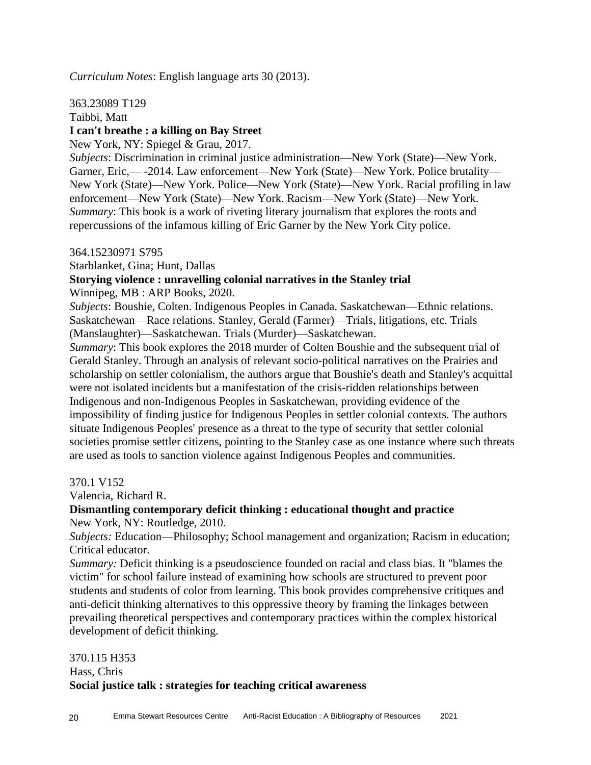*Curriculum Notes*: English language arts 30 (2013).

#### 363.23089 T129

Taibbi, Matt

## **I can't breathe : a killing on Bay Street**

New York, NY: Spiegel & Grau, 2017.

*Subjects*: Discrimination in criminal justice administration—New York (State)—New York. Garner, Eric,— -2014. Law enforcement—New York (State)—New York. Police brutality— New York (State)—New York. Police—New York (State)—New York. Racial profiling in law enforcement—New York (State)—New York. Racism—New York (State)—New York. *Summary*: This book is a work of riveting literary journalism that explores the roots and repercussions of the infamous killing of Eric Garner by the New York City police.

#### 364.15230971 S795

Starblanket, Gina; Hunt, Dallas

## **Storying violence : unravelling colonial narratives in the Stanley trial**

Winnipeg, MB : ARP Books, 2020.

*Subjects*: Boushie, Colten. Indigenous Peoples in Canada. Saskatchewan—Ethnic relations. Saskatchewan—Race relations. Stanley, Gerald (Farmer)—Trials, litigations, etc. Trials (Manslaughter)—Saskatchewan. Trials (Murder)—Saskatchewan.

*Summary*: This book explores the 2018 murder of Colten Boushie and the subsequent trial of Gerald Stanley. Through an analysis of relevant socio-political narratives on the Prairies and scholarship on settler colonialism, the authors argue that Boushie's death and Stanley's acquittal were not isolated incidents but a manifestation of the crisis-ridden relationships between Indigenous and non-Indigenous Peoples in Saskatchewan, providing evidence of the impossibility of finding justice for Indigenous Peoples in settler colonial contexts. The authors situate Indigenous Peoples' presence as a threat to the type of security that settler colonial societies promise settler citizens, pointing to the Stanley case as one instance where such threats are used as tools to sanction violence against Indigenous Peoples and communities.

#### 370.1 V152

Valencia, Richard R.

## **Dismantling contemporary deficit thinking : educational thought and practice**

New York, NY: Routledge, 2010.

*Subjects:* Education—Philosophy; School management and organization; Racism in education; Critical educator.

*Summary:* Deficit thinking is a pseudoscience founded on racial and class bias. It "blames the victim" for school failure instead of examining how schools are structured to prevent poor students and students of color from learning. This book provides comprehensive critiques and anti-deficit thinking alternatives to this oppressive theory by framing the linkages between prevailing theoretical perspectives and contemporary practices within the complex historical development of deficit thinking*.*

## 370.115 H353 Hass, Chris **Social justice talk : strategies for teaching critical awareness**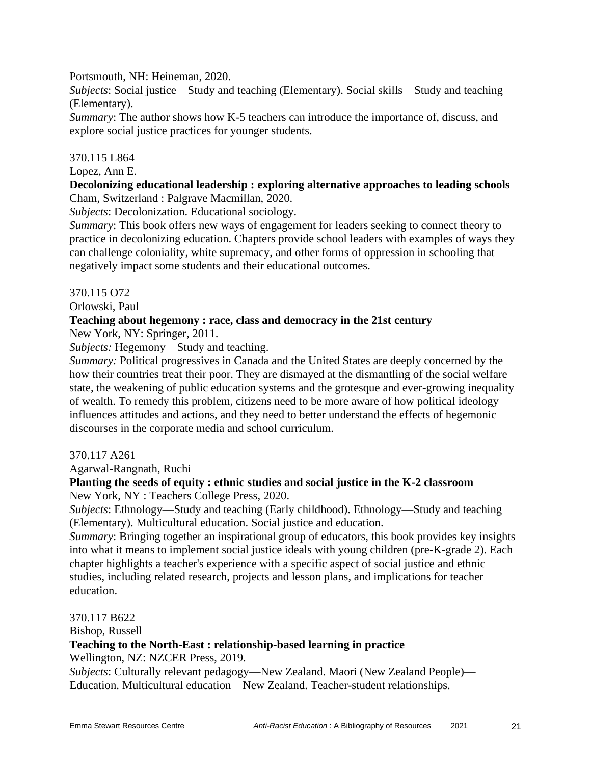#### Portsmouth, NH: Heineman, 2020.

*Subjects*: Social justice—Study and teaching (Elementary). Social skills—Study and teaching (Elementary).

*Summary*: The author shows how K-5 teachers can introduce the importance of, discuss, and explore social justice practices for younger students.

#### 370.115 L864

#### Lopez, Ann E.

## **Decolonizing educational leadership : exploring alternative approaches to leading schools** Cham, Switzerland : Palgrave Macmillan, 2020.

*Subjects*: Decolonization. Educational sociology.

*Summary*: This book offers new ways of engagement for leaders seeking to connect theory to practice in decolonizing education. Chapters provide school leaders with examples of ways they can challenge coloniality, white supremacy, and other forms of oppression in schooling that negatively impact some students and their educational outcomes.

#### 370.115 O72

Orlowski, Paul

#### **Teaching about hegemony : race, class and democracy in the 21st century**

New York, NY: Springer, 2011.

*Subjects:* Hegemony—Study and teaching.

*Summary:* Political progressives in Canada and the United States are deeply concerned by the how their countries treat their poor. They are dismayed at the dismantling of the social welfare state, the weakening of public education systems and the grotesque and ever-growing inequality of wealth. To remedy this problem, citizens need to be more aware of how political ideology influences attitudes and actions, and they need to better understand the effects of hegemonic discourses in the corporate media and school curriculum.

#### 370.117 A261

Agarwal-Rangnath, Ruchi

## **Planting the seeds of equity : ethnic studies and social justice in the K-2 classroom**

New York, NY : Teachers College Press, 2020.

*Subjects*: Ethnology—Study and teaching (Early childhood). Ethnology—Study and teaching (Elementary). Multicultural education. Social justice and education.

*Summary*: Bringing together an inspirational group of educators, this book provides key insights into what it means to implement social justice ideals with young children (pre-K-grade 2). Each chapter highlights a teacher's experience with a specific aspect of social justice and ethnic studies, including related research, projects and lesson plans, and implications for teacher education.

#### 370.117 B622

Bishop, Russell

#### **Teaching to the North-East : relationship-based learning in practice**

Wellington, NZ: NZCER Press, 2019.

*Subjects*: Culturally relevant pedagogy—New Zealand. Maori (New Zealand People)— Education. Multicultural education—New Zealand. Teacher-student relationships.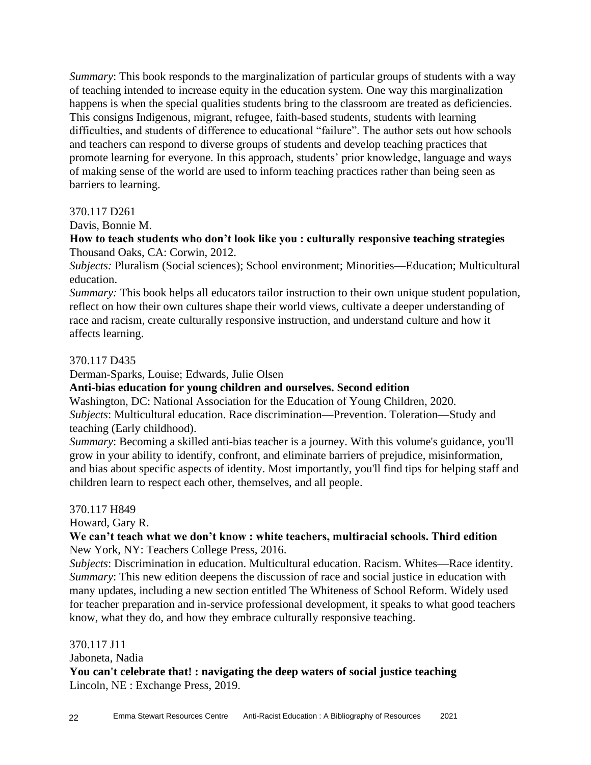*Summary*: This book responds to the marginalization of particular groups of students with a way of teaching intended to increase equity in the education system. One way this marginalization happens is when the special qualities students bring to the classroom are treated as deficiencies. This consigns Indigenous, migrant, refugee, faith-based students, students with learning difficulties, and students of difference to educational "failure". The author sets out how schools and teachers can respond to diverse groups of students and develop teaching practices that promote learning for everyone. In this approach, students' prior knowledge, language and ways of making sense of the world are used to inform teaching practices rather than being seen as barriers to learning.

#### 370.117 D261

Davis, Bonnie M.

#### **How to teach students who don't look like you : culturally responsive teaching strategies** Thousand Oaks, CA: Corwin, 2012.

*Subjects:* Pluralism (Social sciences); School environment; Minorities—Education; Multicultural education.

*Summary:* This book helps all educators tailor instruction to their own unique student population, reflect on how their own cultures shape their world views, cultivate a deeper understanding of race and racism, create culturally responsive instruction, and understand culture and how it affects learning.

#### 370.117 D435

Derman-Sparks, Louise; Edwards, Julie Olsen

#### **Anti-bias education for young children and ourselves. Second edition**

Washington, DC: National Association for the Education of Young Children, 2020. *Subjects*: Multicultural education. Race discrimination—Prevention. Toleration—Study and teaching (Early childhood).

*Summary*: Becoming a skilled anti-bias teacher is a journey. With this volume's guidance, you'll grow in your ability to identify, confront, and eliminate barriers of prejudice, misinformation, and bias about specific aspects of identity. Most importantly, you'll find tips for helping staff and children learn to respect each other, themselves, and all people.

#### 370.117 H849

Howard, Gary R.

## **We can't teach what we don't know : white teachers, multiracial schools. Third edition** New York, NY: Teachers College Press, 2016.

*Subjects*: Discrimination in education. Multicultural education. Racism. Whites—Race identity. *Summary*: This new edition deepens the discussion of race and social justice in education with many updates, including a new section entitled The Whiteness of School Reform. Widely used for teacher preparation and in-service professional development, it speaks to what good teachers know, what they do, and how they embrace culturally responsive teaching.

#### 370.117 J11

Jaboneta, Nadia

**You can't celebrate that! : navigating the deep waters of social justice teaching** Lincoln, NE : Exchange Press, 2019.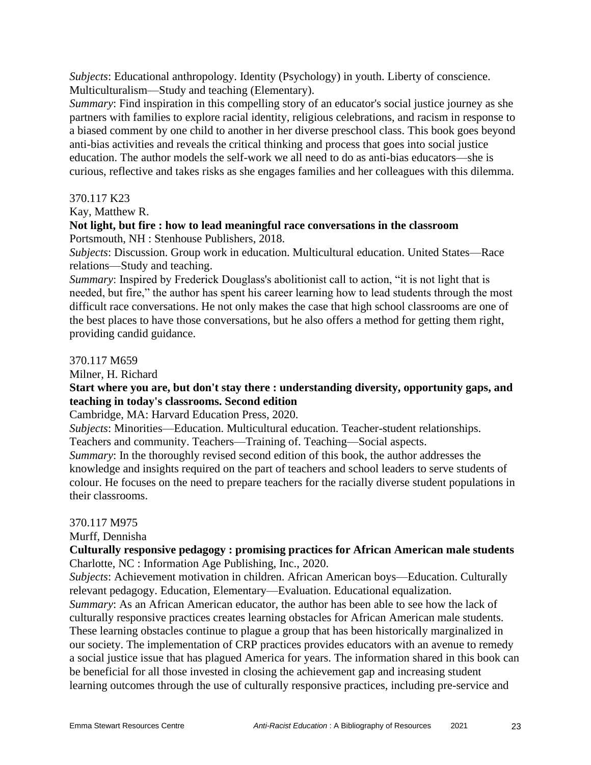*Subjects*: Educational anthropology. Identity (Psychology) in youth. Liberty of conscience. Multiculturalism—Study and teaching (Elementary).

*Summary*: Find inspiration in this compelling story of an educator's social justice journey as she partners with families to explore racial identity, religious celebrations, and racism in response to a biased comment by one child to another in her diverse preschool class. This book goes beyond anti-bias activities and reveals the critical thinking and process that goes into social justice education. The author models the self-work we all need to do as anti-bias educators—she is curious, reflective and takes risks as she engages families and her colleagues with this dilemma.

#### 370.117 K23

Kay, Matthew R.

#### **Not light, but fire : how to lead meaningful race conversations in the classroom** Portsmouth, NH : Stenhouse Publishers, 2018.

*Subjects*: Discussion. Group work in education. Multicultural education. United States—Race relations—Study and teaching.

*Summary*: Inspired by Frederick Douglass's abolitionist call to action, "it is not light that is needed, but fire," the author has spent his career learning how to lead students through the most difficult race conversations. He not only makes the case that high school classrooms are one of the best places to have those conversations, but he also offers a method for getting them right, providing candid guidance.

## 370.117 M659

Milner, H. Richard

## **Start where you are, but don't stay there : understanding diversity, opportunity gaps, and teaching in today's classrooms. Second edition**

Cambridge, MA: Harvard Education Press, 2020.

*Subjects*: Minorities—Education. Multicultural education. Teacher-student relationships. Teachers and community. Teachers—Training of. Teaching—Social aspects.

*Summary*: In the thoroughly revised second edition of this book, the author addresses the knowledge and insights required on the part of teachers and school leaders to serve students of colour. He focuses on the need to prepare teachers for the racially diverse student populations in their classrooms.

#### 370.117 M975

Murff, Dennisha

## **Culturally responsive pedagogy : promising practices for African American male students** Charlotte, NC : Information Age Publishing, Inc., 2020.

*Subjects*: Achievement motivation in children. African American boys—Education. Culturally relevant pedagogy. Education, Elementary—Evaluation. Educational equalization.

*Summary*: As an African American educator, the author has been able to see how the lack of culturally responsive practices creates learning obstacles for African American male students. These learning obstacles continue to plague a group that has been historically marginalized in our society. The implementation of CRP practices provides educators with an avenue to remedy a social justice issue that has plagued America for years. The information shared in this book can be beneficial for all those invested in closing the achievement gap and increasing student learning outcomes through the use of culturally responsive practices, including pre-service and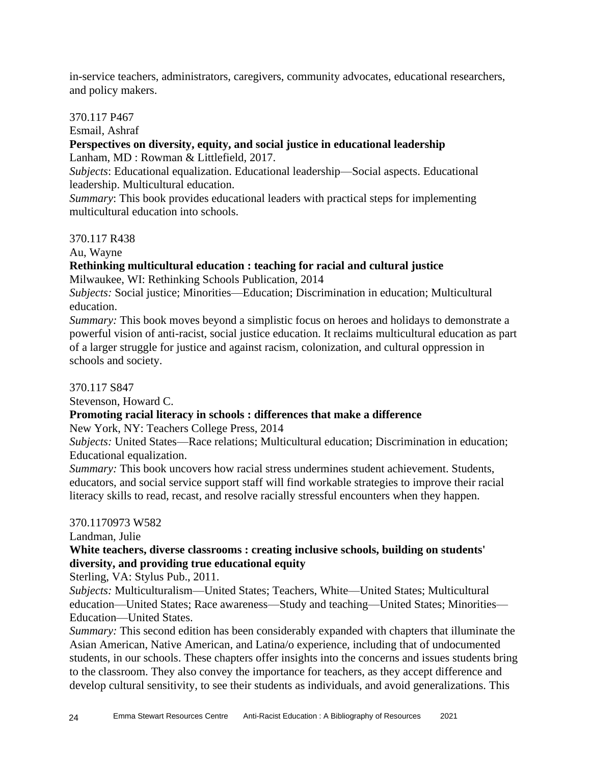in-service teachers, administrators, caregivers, community advocates, educational researchers, and policy makers.

## 370.117 P467

Esmail, Ashraf

## **Perspectives on diversity, equity, and social justice in educational leadership**

Lanham, MD : Rowman & Littlefield, 2017.

*Subjects*: Educational equalization. Educational leadership—Social aspects. Educational leadership. Multicultural education.

*Summary*: This book provides educational leaders with practical steps for implementing multicultural education into schools.

## 370.117 R438

Au, Wayne

## **Rethinking multicultural education : teaching for racial and cultural justice**

Milwaukee, WI: Rethinking Schools Publication, 2014

*Subjects:* Social justice; Minorities—Education; Discrimination in education; Multicultural education.

*Summary:* This book moves beyond a simplistic focus on heroes and holidays to demonstrate a powerful vision of anti-racist, social justice education. It reclaims multicultural education as part of a larger struggle for justice and against racism, colonization, and cultural oppression in schools and society.

370.117 S847

Stevenson, Howard C.

## **Promoting racial literacy in schools : differences that make a difference**

New York, NY: Teachers College Press, 2014

*Subjects:* United States—Race relations; Multicultural education; Discrimination in education; Educational equalization.

*Summary:* This book uncovers how racial stress undermines student achievement. Students, educators, and social service support staff will find workable strategies to improve their racial literacy skills to read, recast, and resolve racially stressful encounters when they happen.

## 370.1170973 W582

Landman, Julie

## **White teachers, diverse classrooms : creating inclusive schools, building on students' diversity, and providing true educational equity**

Sterling, VA: Stylus Pub., 2011.

*Subjects:* Multiculturalism—United States; Teachers, White—United States; Multicultural education—United States; Race awareness—Study and teaching—United States; Minorities— Education—United States.

*Summary:* This second edition has been considerably expanded with chapters that illuminate the Asian American, Native American, and Latina/o experience, including that of undocumented students, in our schools. These chapters offer insights into the concerns and issues students bring to the classroom. They also convey the importance for teachers, as they accept difference and develop cultural sensitivity, to see their students as individuals, and avoid generalizations. This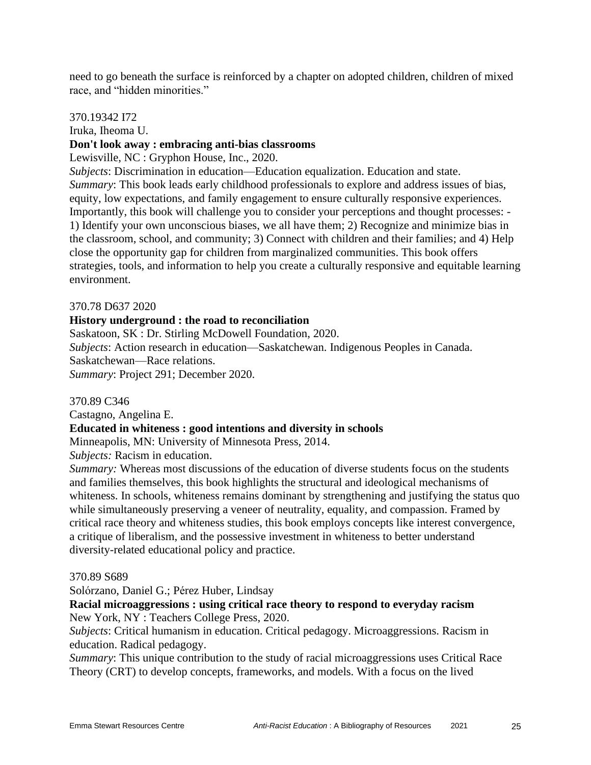need to go beneath the surface is reinforced by a chapter on adopted children, children of mixed race, and "hidden minorities."

370.19342 I72

Iruka, Iheoma U.

#### **Don't look away : embracing anti-bias classrooms**

Lewisville, NC : Gryphon House, Inc., 2020.

*Subjects*: Discrimination in education—Education equalization. Education and state. *Summary*: This book leads early childhood professionals to explore and address issues of bias, equity, low expectations, and family engagement to ensure culturally responsive experiences. Importantly, this book will challenge you to consider your perceptions and thought processes: - 1) Identify your own unconscious biases, we all have them; 2) Recognize and minimize bias in the classroom, school, and community; 3) Connect with children and their families; and 4) Help close the opportunity gap for children from marginalized communities. This book offers strategies, tools, and information to help you create a culturally responsive and equitable learning environment.

#### 370.78 D637 2020

#### **History underground : the road to reconciliation**

Saskatoon, SK : Dr. Stirling McDowell Foundation, 2020.

*Subjects*: Action research in education—Saskatchewan. Indigenous Peoples in Canada.

Saskatchewan—Race relations.

*Summary*: Project 291; December 2020.

#### 370.89 C346

Castagno, Angelina E.

#### **Educated in whiteness : good intentions and diversity in schools**

Minneapolis, MN: University of Minnesota Press, 2014.

*Subjects:* Racism in education.

*Summary:* Whereas most discussions of the education of diverse students focus on the students and families themselves, this book highlights the structural and ideological mechanisms of whiteness. In schools, whiteness remains dominant by strengthening and justifying the status quo while simultaneously preserving a veneer of neutrality, equality, and compassion. Framed by critical race theory and whiteness studies, this book employs concepts like interest convergence, a critique of liberalism, and the possessive investment in whiteness to better understand diversity-related educational policy and practice.

#### 370.89 S689

Solórzano, Daniel G.; Pérez Huber, Lindsay

## **Racial microaggressions : using critical race theory to respond to everyday racism** New York, NY : Teachers College Press, 2020.

*Subjects*: Critical humanism in education. Critical pedagogy. Microaggressions. Racism in education. Radical pedagogy.

*Summary*: This unique contribution to the study of racial microaggressions uses Critical Race Theory (CRT) to develop concepts, frameworks, and models. With a focus on the lived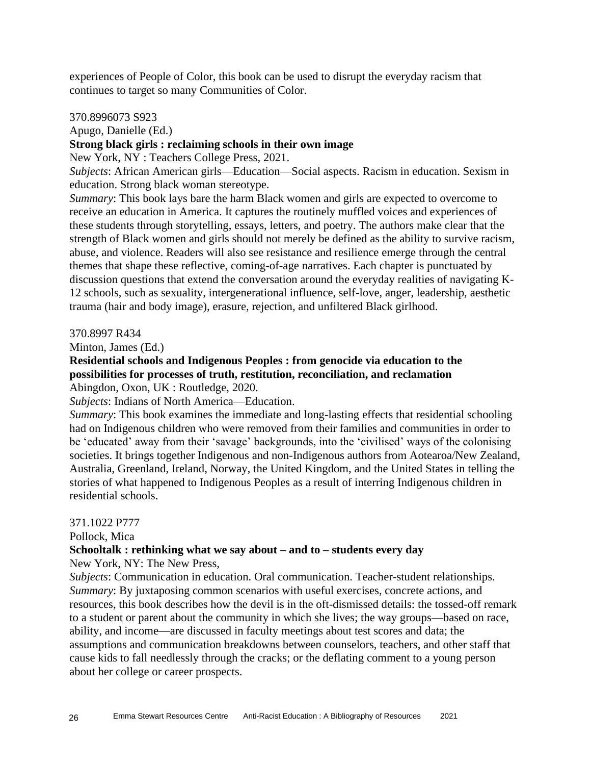experiences of People of Color, this book can be used to disrupt the everyday racism that continues to target so many Communities of Color.

#### 370.8996073 S923

Apugo, Danielle (Ed.)

## **Strong black girls : reclaiming schools in their own image**

New York, NY : Teachers College Press, 2021.

*Subjects*: African American girls—Education—Social aspects. Racism in education. Sexism in education. Strong black woman stereotype.

*Summary*: This book lays bare the harm Black women and girls are expected to overcome to receive an education in America. It captures the routinely muffled voices and experiences of these students through storytelling, essays, letters, and poetry. The authors make clear that the strength of Black women and girls should not merely be defined as the ability to survive racism, abuse, and violence. Readers will also see resistance and resilience emerge through the central themes that shape these reflective, coming-of-age narratives. Each chapter is punctuated by discussion questions that extend the conversation around the everyday realities of navigating K-12 schools, such as sexuality, intergenerational influence, self-love, anger, leadership, aesthetic trauma (hair and body image), erasure, rejection, and unfiltered Black girlhood.

#### 370.8997 R434

Minton, James (Ed.)

#### **Residential schools and Indigenous Peoples : from genocide via education to the possibilities for processes of truth, restitution, reconciliation, and reclamation** Abingdon, Oxon, UK : Routledge, 2020.

*Subjects*: Indians of North America—Education.

*Summary*: This book examines the immediate and long-lasting effects that residential schooling had on Indigenous children who were removed from their families and communities in order to be 'educated' away from their 'savage' backgrounds, into the 'civilised' ways of the colonising societies. It brings together Indigenous and non-Indigenous authors from Aotearoa/New Zealand, Australia, Greenland, Ireland, Norway, the United Kingdom, and the United States in telling the stories of what happened to Indigenous Peoples as a result of interring Indigenous children in residential schools.

#### 371.1022 P777

Pollock, Mica

#### **Schooltalk : rethinking what we say about – and to – students every day**

New York, NY: The New Press,

*Subjects*: Communication in education. Oral communication. Teacher-student relationships. *Summary*: By juxtaposing common scenarios with useful exercises, concrete actions, and resources, this book describes how the devil is in the oft-dismissed details: the tossed-off remark to a student or parent about the community in which she lives; the way groups—based on race, ability, and income—are discussed in faculty meetings about test scores and data; the assumptions and communication breakdowns between counselors, teachers, and other staff that cause kids to fall needlessly through the cracks; or the deflating comment to a young person about her college or career prospects.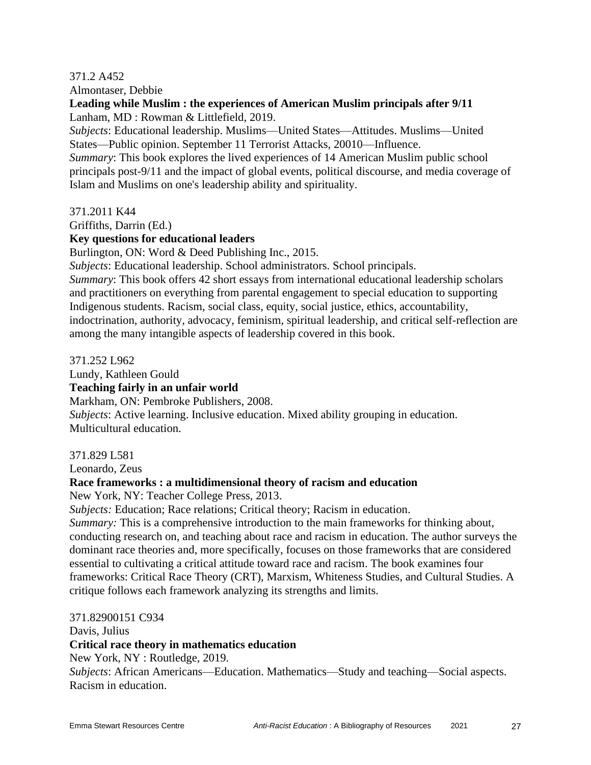## 371.2 A452

Almontaser, Debbie

## **Leading while Muslim : the experiences of American Muslim principals after 9/11** Lanham, MD : Rowman & Littlefield, 2019.

*Subjects*: Educational leadership. Muslims—United States—Attitudes. Muslims—United States—Public opinion. September 11 Terrorist Attacks, 20010—Influence.

*Summary*: This book explores the lived experiences of 14 American Muslim public school principals post-9/11 and the impact of global events, political discourse, and media coverage of Islam and Muslims on one's leadership ability and spirituality.

371.2011 K44

Griffiths, Darrin (Ed.)

#### **Key questions for educational leaders**

Burlington, ON: Word & Deed Publishing Inc., 2015.

*Subjects*: Educational leadership. School administrators. School principals.

*Summary*: This book offers 42 short essays from international educational leadership scholars and practitioners on everything from parental engagement to special education to supporting Indigenous students. Racism, social class, equity, social justice, ethics, accountability, indoctrination, authority, advocacy, feminism, spiritual leadership, and critical self-reflection are among the many intangible aspects of leadership covered in this book.

371.252 L962

Lundy, Kathleen Gould

#### **Teaching fairly in an unfair world**

Markham, ON: Pembroke Publishers, 2008.

*Subjects*: Active learning. Inclusive education. Mixed ability grouping in education. Multicultural education.

#### 371.829 L581

Leonardo, Zeus

#### **Race frameworks : a multidimensional theory of racism and education**

New York, NY: Teacher College Press, 2013.

*Subjects:* Education; Race relations; Critical theory; Racism in education.

*Summary:* This is a comprehensive introduction to the main frameworks for thinking about, conducting research on, and teaching about race and racism in education. The author surveys the dominant race theories and, more specifically, focuses on those frameworks that are considered essential to cultivating a critical attitude toward race and racism. The book examines four frameworks: Critical Race Theory (CRT), Marxism, Whiteness Studies, and Cultural Studies. A critique follows each framework analyzing its strengths and limits.

371.82900151 C934

Davis, Julius

#### **Critical race theory in mathematics education**

New York, NY : Routledge, 2019.

*Subjects*: African Americans—Education. Mathematics—Study and teaching—Social aspects. Racism in education.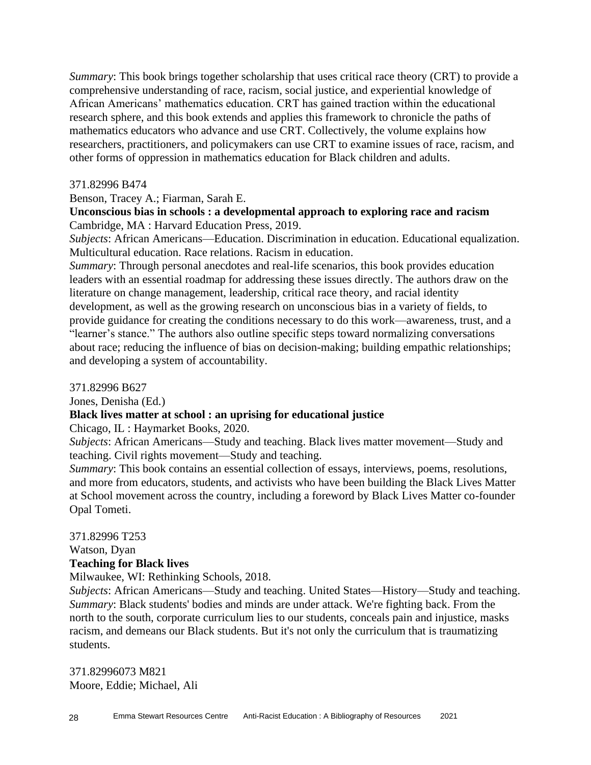*Summary*: This book brings together scholarship that uses critical race theory (CRT) to provide a comprehensive understanding of race, racism, social justice, and experiential knowledge of African Americans' mathematics education. CRT has gained traction within the educational research sphere, and this book extends and applies this framework to chronicle the paths of mathematics educators who advance and use CRT. Collectively, the volume explains how researchers, practitioners, and policymakers can use CRT to examine issues of race, racism, and other forms of oppression in mathematics education for Black children and adults.

#### 371.82996 B474

Benson, Tracey A.; Fiarman, Sarah E.

## **Unconscious bias in schools : a developmental approach to exploring race and racism** Cambridge, MA : Harvard Education Press, 2019.

*Subjects*: African Americans—Education. Discrimination in education. Educational equalization. Multicultural education. Race relations. Racism in education.

*Summary*: Through personal anecdotes and real-life scenarios, this book provides education leaders with an essential roadmap for addressing these issues directly. The authors draw on the literature on change management, leadership, critical race theory, and racial identity development, as well as the growing research on unconscious bias in a variety of fields, to provide guidance for creating the conditions necessary to do this work—awareness, trust, and a "learner's stance." The authors also outline specific steps toward normalizing conversations about race; reducing the influence of bias on decision-making; building empathic relationships; and developing a system of accountability.

371.82996 B627

Jones, Denisha (Ed.)

#### **Black lives matter at school : an uprising for educational justice**

Chicago, IL : Haymarket Books, 2020.

*Subjects*: African Americans—Study and teaching. Black lives matter movement—Study and teaching. Civil rights movement—Study and teaching.

*Summary*: This book contains an essential collection of essays, interviews, poems, resolutions, and more from educators, students, and activists who have been building the Black Lives Matter at School movement across the country, including a foreword by Black Lives Matter co-founder Opal Tometi.

371.82996 T253

Watson, Dyan

## **Teaching for Black lives**

Milwaukee, WI: Rethinking Schools, 2018.

*Subjects*: African Americans—Study and teaching. United States—History—Study and teaching. *Summary*: Black students' bodies and minds are under attack. We're fighting back. From the north to the south, corporate curriculum lies to our students, conceals pain and injustice, masks racism, and demeans our Black students. But it's not only the curriculum that is traumatizing students.

371.82996073 M821 Moore, Eddie; Michael, Ali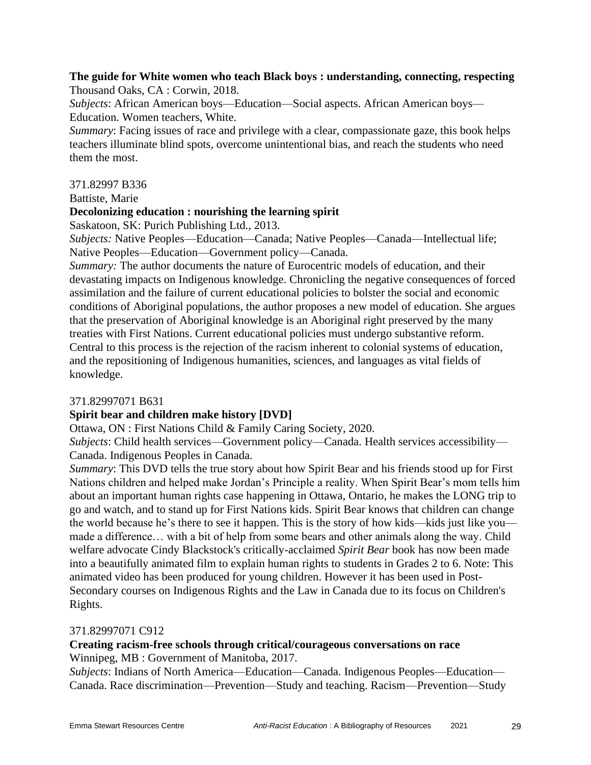#### **The guide for White women who teach Black boys : understanding, connecting, respecting** Thousand Oaks, CA : Corwin, 2018.

*Subjects*: African American boys—Education—Social aspects. African American boys— Education. Women teachers, White.

*Summary*: Facing issues of race and privilege with a clear, compassionate gaze, this book helps teachers illuminate blind spots, overcome unintentional bias, and reach the students who need them the most.

## 371.82997 B336

Battiste, Marie

## **Decolonizing education : nourishing the learning spirit**

Saskatoon, SK: Purich Publishing Ltd., 2013.

*Subjects:* Native Peoples—Education—Canada; Native Peoples—Canada—Intellectual life; Native Peoples—Education—Government policy—Canada.

*Summary:* The author documents the nature of Eurocentric models of education, and their devastating impacts on Indigenous knowledge. Chronicling the negative consequences of forced assimilation and the failure of current educational policies to bolster the social and economic conditions of Aboriginal populations, the author proposes a new model of education. She argues that the preservation of Aboriginal knowledge is an Aboriginal right preserved by the many treaties with First Nations. Current educational policies must undergo substantive reform. Central to this process is the rejection of the racism inherent to colonial systems of education, and the repositioning of Indigenous humanities, sciences, and languages as vital fields of knowledge.

#### 371.82997071 B631

## **Spirit bear and children make history [DVD]**

Ottawa, ON : First Nations Child & Family Caring Society, 2020.

*Subjects*: Child health services—Government policy—Canada. Health services accessibility— Canada. Indigenous Peoples in Canada.

*Summary*: This DVD tells the true story about how Spirit Bear and his friends stood up for First Nations children and helped make Jordan's Principle a reality. When Spirit Bear's mom tells him about an important human rights case happening in Ottawa, Ontario, he makes the LONG trip to go and watch, and to stand up for First Nations kids. Spirit Bear knows that children can change the world because he's there to see it happen. This is the story of how kids—kids just like you made a difference… with a bit of help from some bears and other animals along the way. Child welfare advocate Cindy Blackstock's critically-acclaimed *Spirit Bear* book has now been made into a beautifully animated film to explain human rights to students in Grades 2 to 6. Note: This animated video has been produced for young children. However it has been used in Post-Secondary courses on Indigenous Rights and the Law in Canada due to its focus on Children's Rights.

## 371.82997071 C912

## **Creating racism-free schools through critical/courageous conversations on race** Winnipeg, MB : Government of Manitoba, 2017.

*Subjects*: Indians of North America—Education—Canada. Indigenous Peoples—Education— Canada. Race discrimination—Prevention—Study and teaching. Racism—Prevention—Study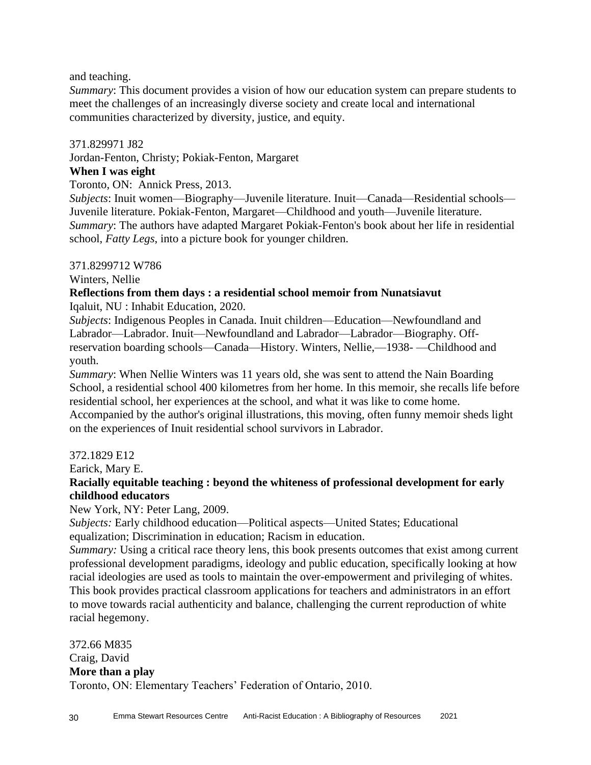and teaching.

*Summary*: This document provides a vision of how our education system can prepare students to meet the challenges of an increasingly diverse society and create local and international communities characterized by diversity, justice, and equity.

## 371.829971 J82

Jordan-Fenton, Christy; Pokiak-Fenton, Margaret

## **When I was eight**

Toronto, ON: Annick Press, 2013.

*Subjects*: Inuit women—Biography—Juvenile literature. Inuit—Canada—Residential schools— Juvenile literature. Pokiak-Fenton, Margaret—Childhood and youth—Juvenile literature. *Summary*: The authors have adapted Margaret Pokiak-Fenton's book about her life in residential school, *Fatty Legs*, into a picture book for younger children.

## 371.8299712 W786

Winters, Nellie

## **Reflections from them days : a residential school memoir from Nunatsiavut**

Iqaluit, NU : Inhabit Education, 2020.

*Subjects*: Indigenous Peoples in Canada. Inuit children—Education—Newfoundland and Labrador—Labrador. Inuit—Newfoundland and Labrador—Labrador—Biography. Offreservation boarding schools—Canada—History. Winters, Nellie,—1938- —Childhood and youth.

*Summary*: When Nellie Winters was 11 years old, she was sent to attend the Nain Boarding School, a residential school 400 kilometres from her home. In this memoir, she recalls life before residential school, her experiences at the school, and what it was like to come home. Accompanied by the author's original illustrations, this moving, often funny memoir sheds light on the experiences of Inuit residential school survivors in Labrador.

## 372.1829 E12

Earick, Mary E.

## **Racially equitable teaching : beyond the whiteness of professional development for early childhood educators**

## New York, NY: Peter Lang, 2009.

*Subjects:* Early childhood education—Political aspects—United States; Educational equalization; Discrimination in education; Racism in education.

*Summary:* Using a critical race theory lens, this book presents outcomes that exist among current professional development paradigms, ideology and public education, specifically looking at how racial ideologies are used as tools to maintain the over-empowerment and privileging of whites. This book provides practical classroom applications for teachers and administrators in an effort to move towards racial authenticity and balance, challenging the current reproduction of white racial hegemony.

372.66 M835 Craig, David **More than a play** Toronto, ON: Elementary Teachers' Federation of Ontario, 2010.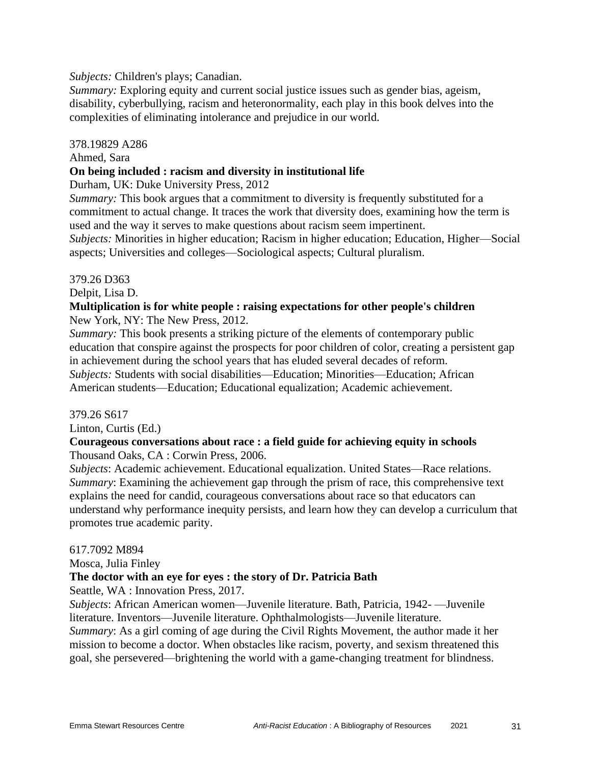*Subjects:* Children's plays; Canadian.

*Summary:* Exploring equity and current social justice issues such as gender bias, ageism, disability, cyberbullying, racism and heteronormality, each play in this book delves into the complexities of eliminating intolerance and prejudice in our world.

#### 378.19829 A286

#### Ahmed, Sara

#### **On being included : racism and diversity in institutional life**

Durham, UK: Duke University Press, 2012

*Summary:* This book argues that a commitment to diversity is frequently substituted for a commitment to actual change. It traces the work that diversity does, examining how the term is used and the way it serves to make questions about racism seem impertinent.

*Subjects:* Minorities in higher education; Racism in higher education; Education, Higher—Social aspects; Universities and colleges—Sociological aspects; Cultural pluralism.

#### 379.26 D363

Delpit, Lisa D.

#### **Multiplication is for white people : raising expectations for other people's children** New York, NY: The New Press, 2012.

*Summary:* This book presents a striking picture of the elements of contemporary public education that conspire against the prospects for poor children of color, creating a persistent gap in achievement during the school years that has eluded several decades of reform. *Subjects:* Students with social disabilities—Education; Minorities—Education; African American students—Education; Educational equalization; Academic achievement.

#### 379.26 S617

Linton, Curtis (Ed.)

## **Courageous conversations about race : a field guide for achieving equity in schools**

Thousand Oaks, CA : Corwin Press, 2006.

*Subjects*: Academic achievement. Educational equalization. United States—Race relations. *Summary*: Examining the achievement gap through the prism of race, this comprehensive text explains the need for candid, courageous conversations about race so that educators can understand why performance inequity persists, and learn how they can develop a curriculum that promotes true academic parity.

#### 617.7092 M894

Mosca, Julia Finley

## **The doctor with an eye for eyes : the story of Dr. Patricia Bath**

Seattle, WA : Innovation Press, 2017.

*Subjects*: African American women—Juvenile literature. Bath, Patricia, 1942- —Juvenile literature. Inventors—Juvenile literature. Ophthalmologists—Juvenile literature.

*Summary*: As a girl coming of age during the Civil Rights Movement, the author made it her mission to become a doctor. When obstacles like racism, poverty, and sexism threatened this goal, she persevered—brightening the world with a game-changing treatment for blindness.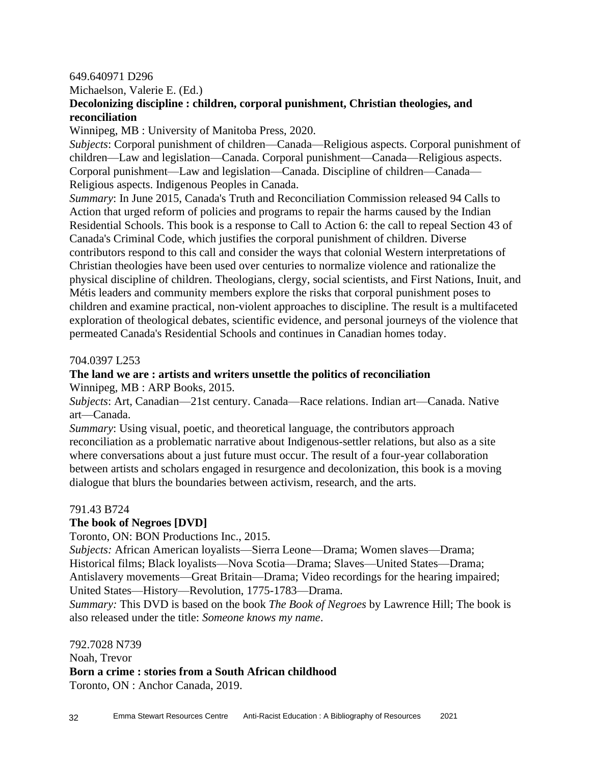#### 649.640971 D296

Michaelson, Valerie E. (Ed.)

## **Decolonizing discipline : children, corporal punishment, Christian theologies, and reconciliation**

Winnipeg, MB : University of Manitoba Press, 2020.

*Subjects*: Corporal punishment of children—Canada—Religious aspects. Corporal punishment of children—Law and legislation—Canada. Corporal punishment—Canada—Religious aspects. Corporal punishment—Law and legislation—Canada. Discipline of children—Canada— Religious aspects. Indigenous Peoples in Canada.

*Summary*: In June 2015, Canada's Truth and Reconciliation Commission released 94 Calls to Action that urged reform of policies and programs to repair the harms caused by the Indian Residential Schools. This book is a response to Call to Action 6: the call to repeal Section 43 of Canada's Criminal Code, which justifies the corporal punishment of children. Diverse contributors respond to this call and consider the ways that colonial Western interpretations of Christian theologies have been used over centuries to normalize violence and rationalize the physical discipline of children. Theologians, clergy, social scientists, and First Nations, Inuit, and Métis leaders and community members explore the risks that corporal punishment poses to children and examine practical, non-violent approaches to discipline. The result is a multifaceted exploration of theological debates, scientific evidence, and personal journeys of the violence that permeated Canada's Residential Schools and continues in Canadian homes today.

#### 704.0397 L253

#### **The land we are : artists and writers unsettle the politics of reconciliation** Winnipeg, MB : ARP Books, 2015.

*Subjects*: Art, Canadian—21st century. Canada—Race relations. Indian art—Canada. Native art—Canada.

*Summary*: Using visual, poetic, and theoretical language, the contributors approach reconciliation as a problematic narrative about Indigenous-settler relations, but also as a site where conversations about a just future must occur. The result of a four-year collaboration between artists and scholars engaged in resurgence and decolonization, this book is a moving dialogue that blurs the boundaries between activism, research, and the arts.

#### 791.43 B724

#### **The book of Negroes [DVD]**

Toronto, ON: BON Productions Inc., 2015.

*Subjects:* African American loyalists—Sierra Leone—Drama; Women slaves—Drama; Historical films; Black loyalists—Nova Scotia—Drama; Slaves—United States—Drama; Antislavery movements—Great Britain—Drama; Video recordings for the hearing impaired; United States—History—Revolution, 1775-1783—Drama.

*Summary:* This DVD is based on the book *The Book of Negroes* by Lawrence Hill; The book is also released under the title: *Someone knows my name*.

792.7028 N739

Noah, Trevor **Born a crime : stories from a South African childhood**

Toronto, ON : Anchor Canada, 2019.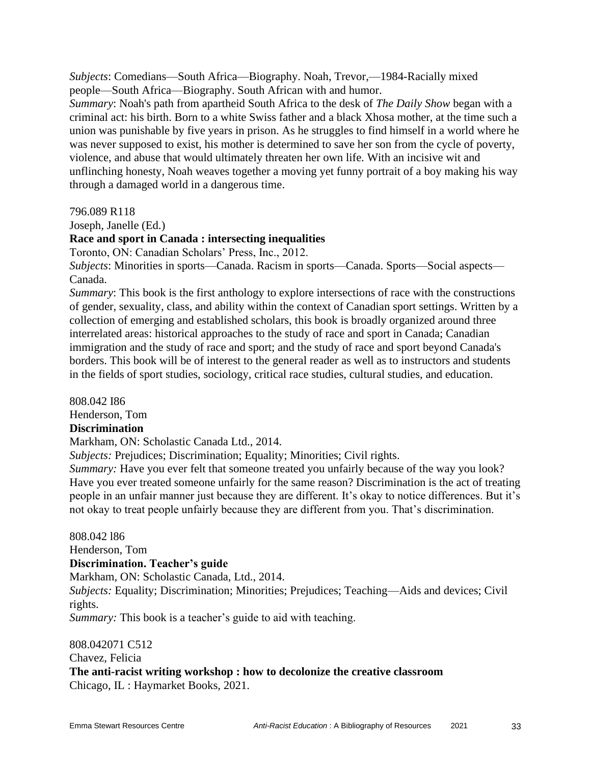*Subjects*: Comedians—South Africa—Biography. Noah, Trevor,—1984-Racially mixed people—South Africa—Biography. South African with and humor.

*Summary*: Noah's path from apartheid South Africa to the desk of *The Daily Show* began with a criminal act: his birth. Born to a white Swiss father and a black Xhosa mother, at the time such a union was punishable by five years in prison. As he struggles to find himself in a world where he was never supposed to exist, his mother is determined to save her son from the cycle of poverty, violence, and abuse that would ultimately threaten her own life. With an incisive wit and unflinching honesty, Noah weaves together a moving yet funny portrait of a boy making his way through a damaged world in a dangerous time.

796.089 R118

Joseph, Janelle (Ed.)

## **Race and sport in Canada : intersecting inequalities**

Toronto, ON: Canadian Scholars' Press, Inc., 2012.

*Subjects*: Minorities in sports—Canada. Racism in sports—Canada. Sports—Social aspects— Canada.

*Summary*: This book is the first anthology to explore intersections of race with the constructions of gender, sexuality, class, and ability within the context of Canadian sport settings. Written by a collection of emerging and established scholars, this book is broadly organized around three interrelated areas: historical approaches to the study of race and sport in Canada; Canadian immigration and the study of race and sport; and the study of race and sport beyond Canada's borders. This book will be of interest to the general reader as well as to instructors and students in the fields of sport studies, sociology, critical race studies, cultural studies, and education.

808.042 I86 Henderson, Tom **Discrimination** Markham, ON: Scholastic Canada Ltd., 2014. *Subjects:* Prejudices; Discrimination; Equality; Minorities; Civil rights. *Summary:* Have you ever felt that someone treated you unfairly because of the way you look?

Have you ever treated someone unfairly for the same reason? Discrimination is the act of treating people in an unfair manner just because they are different. It's okay to notice differences. But it's not okay to treat people unfairly because they are different from you. That's discrimination.

808.042 l86 Henderson, Tom **Discrimination. Teacher's guide** Markham, ON: Scholastic Canada, Ltd., 2014. *Subjects:* Equality; Discrimination; Minorities; Prejudices; Teaching—Aids and devices; Civil rights.

*Summary:* This book is a teacher's guide to aid with teaching.

808.042071 C512 Chavez, Felicia **The anti-racist writing workshop : how to decolonize the creative classroom** Chicago, IL : Haymarket Books, 2021.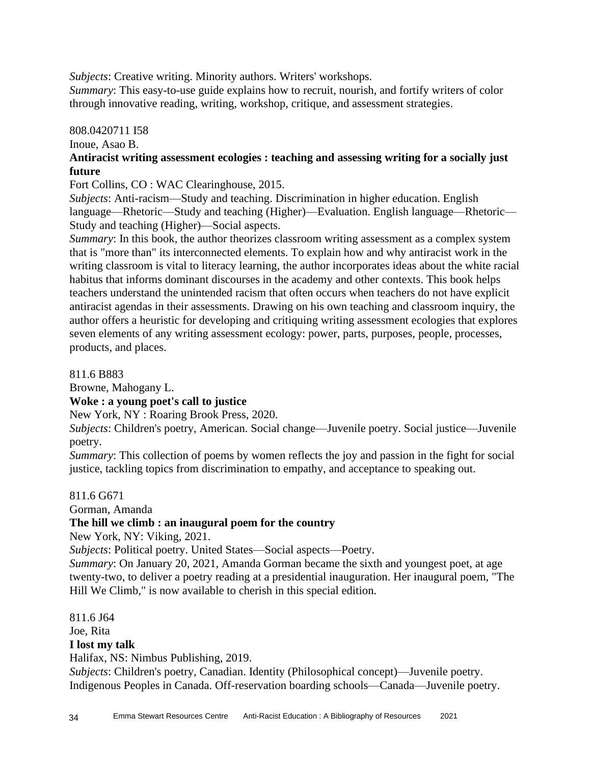*Subjects*: Creative writing. Minority authors. Writers' workshops.

*Summary*: This easy-to-use guide explains how to recruit, nourish, and fortify writers of color through innovative reading, writing, workshop, critique, and assessment strategies.

## 808.0420711 I58

Inoue, Asao B.

## **Antiracist writing assessment ecologies : teaching and assessing writing for a socially just future**

Fort Collins, CO : WAC Clearinghouse, 2015.

*Subjects*: Anti-racism—Study and teaching. Discrimination in higher education. English language—Rhetoric—Study and teaching (Higher)—Evaluation. English language—Rhetoric— Study and teaching (Higher)—Social aspects.

*Summary*: In this book, the author theorizes classroom writing assessment as a complex system that is "more than" its interconnected elements. To explain how and why antiracist work in the writing classroom is vital to literacy learning, the author incorporates ideas about the white racial habitus that informs dominant discourses in the academy and other contexts. This book helps teachers understand the unintended racism that often occurs when teachers do not have explicit antiracist agendas in their assessments. Drawing on his own teaching and classroom inquiry, the author offers a heuristic for developing and critiquing writing assessment ecologies that explores seven elements of any writing assessment ecology: power, parts, purposes, people, processes, products, and places.

811.6 B883

Browne, Mahogany L.

## **Woke : a young poet's call to justice**

New York, NY : Roaring Brook Press, 2020.

*Subjects*: Children's poetry, American. Social change—Juvenile poetry. Social justice—Juvenile poetry.

*Summary*: This collection of poems by women reflects the joy and passion in the fight for social justice, tackling topics from discrimination to empathy, and acceptance to speaking out.

## 811.6 G671

Gorman, Amanda

## **The hill we climb : an inaugural poem for the country**

New York, NY: Viking, 2021.

*Subjects*: Political poetry. United States—Social aspects—Poetry.

*Summary*: On January 20, 2021, Amanda Gorman became the sixth and youngest poet, at age twenty-two, to deliver a poetry reading at a presidential inauguration. Her inaugural poem, "The Hill We Climb," is now available to cherish in this special edition.

811.6 J64 Joe, Rita **I lost my talk** Halifax, NS: Nimbus Publishing, 2019. *Subjects*: Children's poetry, Canadian. Identity (Philosophical concept)—Juvenile poetry.

Indigenous Peoples in Canada. Off-reservation boarding schools—Canada—Juvenile poetry.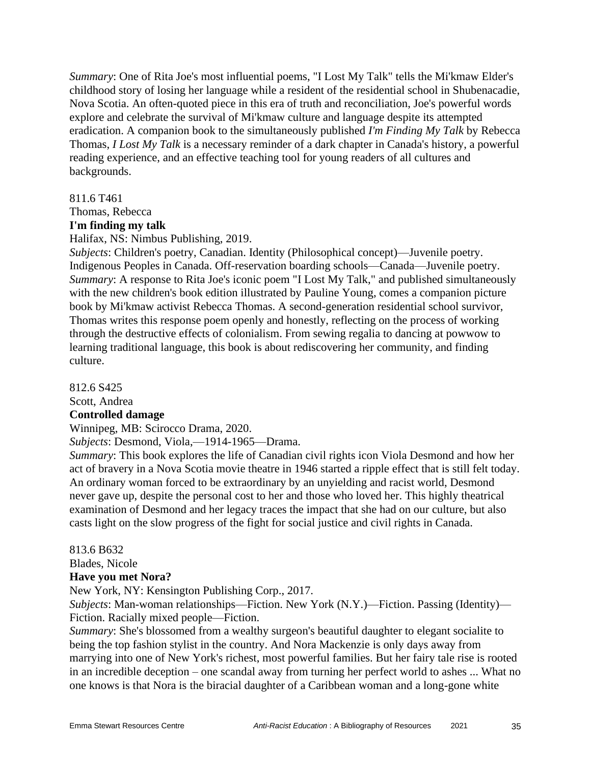*Summary*: One of Rita Joe's most influential poems, "I Lost My Talk" tells the Mi'kmaw Elder's childhood story of losing her language while a resident of the residential school in Shubenacadie, Nova Scotia. An often-quoted piece in this era of truth and reconciliation, Joe's powerful words explore and celebrate the survival of Mi'kmaw culture and language despite its attempted eradication. A companion book to the simultaneously published *I'm Finding My Talk* by Rebecca Thomas, *I Lost My Talk* is a necessary reminder of a dark chapter in Canada's history, a powerful reading experience, and an effective teaching tool for young readers of all cultures and backgrounds.

#### 811.6 T461

Thomas, Rebecca

#### **I'm finding my talk**

Halifax, NS: Nimbus Publishing, 2019.

*Subjects*: Children's poetry, Canadian. Identity (Philosophical concept)—Juvenile poetry. Indigenous Peoples in Canada. Off-reservation boarding schools—Canada—Juvenile poetry. *Summary*: A response to Rita Joe's iconic poem "I Lost My Talk," and published simultaneously with the new children's book edition illustrated by Pauline Young, comes a companion picture book by Mi'kmaw activist Rebecca Thomas. A second-generation residential school survivor, Thomas writes this response poem openly and honestly, reflecting on the process of working through the destructive effects of colonialism. From sewing regalia to dancing at powwow to learning traditional language, this book is about rediscovering her community, and finding culture.

812.6 S425

Scott, Andrea

#### **Controlled damage**

Winnipeg, MB: Scirocco Drama, 2020.

*Subjects*: Desmond, Viola,—1914-1965—Drama.

*Summary*: This book explores the life of Canadian civil rights icon Viola Desmond and how her act of bravery in a Nova Scotia movie theatre in 1946 started a ripple effect that is still felt today. An ordinary woman forced to be extraordinary by an unyielding and racist world, Desmond never gave up, despite the personal cost to her and those who loved her. This highly theatrical examination of Desmond and her legacy traces the impact that she had on our culture, but also casts light on the slow progress of the fight for social justice and civil rights in Canada.

#### 813.6 B632

Blades, Nicole

#### **Have you met Nora?**

New York, NY: Kensington Publishing Corp., 2017.

*Subjects*: Man-woman relationships—Fiction. New York (N.Y.)—Fiction. Passing (Identity)— Fiction. Racially mixed people—Fiction.

*Summary*: She's blossomed from a wealthy surgeon's beautiful daughter to elegant socialite to being the top fashion stylist in the country. And Nora Mackenzie is only days away from marrying into one of New York's richest, most powerful families. But her fairy tale rise is rooted in an incredible deception – one scandal away from turning her perfect world to ashes ... What no one knows is that Nora is the biracial daughter of a Caribbean woman and a long-gone white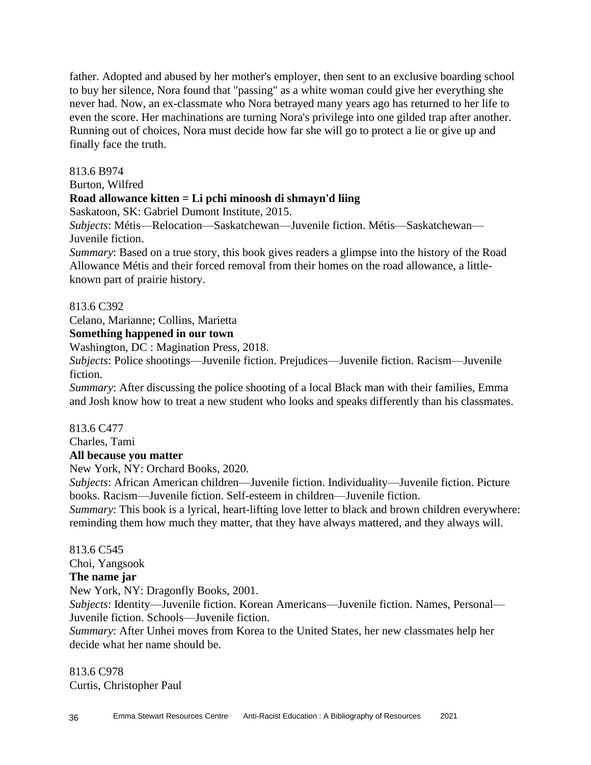father. Adopted and abused by her mother's employer, then sent to an exclusive boarding school to buy her silence, Nora found that "passing" as a white woman could give her everything she never had. Now, an ex-classmate who Nora betrayed many years ago has returned to her life to even the score. Her machinations are turning Nora's privilege into one gilded trap after another. Running out of choices, Nora must decide how far she will go to protect a lie or give up and finally face the truth.

#### 813.6 B974

Burton, Wilfred

## **Road allowance kitten = Li pchi minoosh di shmayn'd liing**

Saskatoon, SK: Gabriel Dumont Institute, 2015.

*Subjects*: Métis—Relocation—Saskatchewan—Juvenile fiction. Métis—Saskatchewan— Juvenile fiction.

*Summary*: Based on a true story, this book gives readers a glimpse into the history of the Road Allowance Métis and their forced removal from their homes on the road allowance, a littleknown part of prairie history.

813.6 C392

Celano, Marianne; Collins, Marietta

## **Something happened in our town**

Washington, DC : Magination Press, 2018.

*Subjects*: Police shootings—Juvenile fiction. Prejudices—Juvenile fiction. Racism—Juvenile fiction.

*Summary*: After discussing the police shooting of a local Black man with their families, Emma and Josh know how to treat a new student who looks and speaks differently than his classmates.

#### 813.6 C477

Charles, Tami

## **All because you matter**

New York, NY: Orchard Books, 2020.

*Subjects*: African American children—Juvenile fiction. Individuality—Juvenile fiction. Picture books. Racism—Juvenile fiction. Self-esteem in children—Juvenile fiction.

*Summary*: This book is a lyrical, heart-lifting love letter to black and brown children everywhere: reminding them how much they matter, that they have always mattered, and they always will.

813.6 C545 Choi, Yangsook **The name jar** New York, NY: Dragonfly Books, 2001. *Subjects*: Identity—Juvenile fiction. Korean Americans—Juvenile fiction. Names, Personal— Juvenile fiction. Schools—Juvenile fiction.

*Summary*: After Unhei moves from Korea to the United States, her new classmates help her decide what her name should be.

813.6 C978 Curtis, Christopher Paul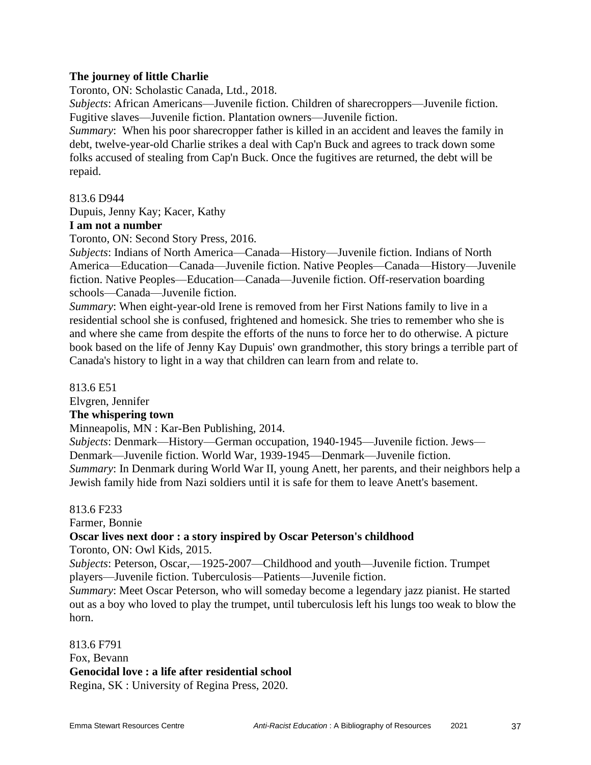#### **The journey of little Charlie**

Toronto, ON: Scholastic Canada, Ltd., 2018.

*Subjects*: African Americans—Juvenile fiction. Children of sharecroppers—Juvenile fiction. Fugitive slaves—Juvenile fiction. Plantation owners—Juvenile fiction.

*Summary*: When his poor sharecropper father is killed in an accident and leaves the family in debt, twelve-year-old Charlie strikes a deal with Cap'n Buck and agrees to track down some folks accused of stealing from Cap'n Buck. Once the fugitives are returned, the debt will be repaid.

#### 813.6 D944

Dupuis, Jenny Kay; Kacer, Kathy

#### **I am not a number**

Toronto, ON: Second Story Press, 2016.

*Subjects*: Indians of North America—Canada—History—Juvenile fiction. Indians of North America—Education—Canada—Juvenile fiction. Native Peoples—Canada—History—Juvenile fiction. Native Peoples—Education—Canada—Juvenile fiction. Off-reservation boarding schools—Canada—Juvenile fiction.

*Summary*: When eight-year-old Irene is removed from her First Nations family to live in a residential school she is confused, frightened and homesick. She tries to remember who she is and where she came from despite the efforts of the nuns to force her to do otherwise. A picture book based on the life of Jenny Kay Dupuis' own grandmother, this story brings a terrible part of Canada's history to light in a way that children can learn from and relate to.

813.6 E51

Elvgren, Jennifer

#### **The whispering town**

Minneapolis, MN : Kar-Ben Publishing, 2014.

*Subjects*: Denmark—History—German occupation, 1940-1945—Juvenile fiction. Jews— Denmark—Juvenile fiction. World War, 1939-1945—Denmark—Juvenile fiction.

*Summary*: In Denmark during World War II, young Anett, her parents, and their neighbors help a Jewish family hide from Nazi soldiers until it is safe for them to leave Anett's basement.

#### 813.6 F233

Farmer, Bonnie

#### **Oscar lives next door : a story inspired by Oscar Peterson's childhood**

Toronto, ON: Owl Kids, 2015.

*Subjects*: Peterson, Oscar,—1925-2007—Childhood and youth—Juvenile fiction. Trumpet players—Juvenile fiction. Tuberculosis—Patients—Juvenile fiction.

*Summary*: Meet Oscar Peterson, who will someday become a legendary jazz pianist. He started out as a boy who loved to play the trumpet, until tuberculosis left his lungs too weak to blow the horn.

813.6 F791 Fox, Bevann **Genocidal love : a life after residential school** Regina, SK : University of Regina Press, 2020.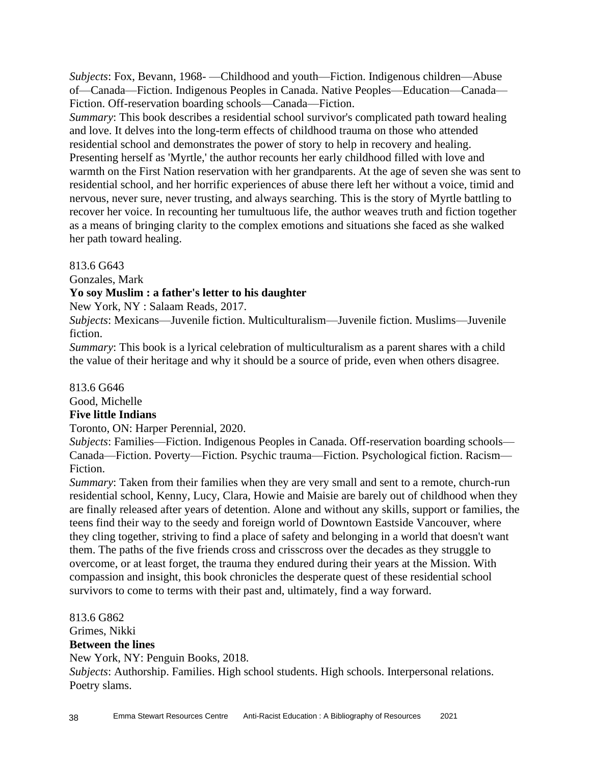*Subjects*: Fox, Bevann, 1968- —Childhood and youth—Fiction. Indigenous children—Abuse of—Canada—Fiction. Indigenous Peoples in Canada. Native Peoples—Education—Canada— Fiction. Off-reservation boarding schools—Canada—Fiction.

*Summary*: This book describes a residential school survivor's complicated path toward healing and love. It delves into the long-term effects of childhood trauma on those who attended residential school and demonstrates the power of story to help in recovery and healing. Presenting herself as 'Myrtle,' the author recounts her early childhood filled with love and warmth on the First Nation reservation with her grandparents. At the age of seven she was sent to residential school, and her horrific experiences of abuse there left her without a voice, timid and nervous, never sure, never trusting, and always searching. This is the story of Myrtle battling to recover her voice. In recounting her tumultuous life, the author weaves truth and fiction together as a means of bringing clarity to the complex emotions and situations she faced as she walked her path toward healing.

#### 813.6 G643

Gonzales, Mark

#### **Yo soy Muslim : a father's letter to his daughter**

New York, NY : Salaam Reads, 2017.

*Subjects*: Mexicans—Juvenile fiction. Multiculturalism—Juvenile fiction. Muslims—Juvenile fiction.

*Summary*: This book is a lyrical celebration of multiculturalism as a parent shares with a child the value of their heritage and why it should be a source of pride, even when others disagree.

#### 813.6 G646

Good, Michelle

#### **Five little Indians**

Toronto, ON: Harper Perennial, 2020.

*Subjects*: Families—Fiction. Indigenous Peoples in Canada. Off-reservation boarding schools— Canada—Fiction. Poverty—Fiction. Psychic trauma—Fiction. Psychological fiction. Racism— Fiction.

*Summary*: Taken from their families when they are very small and sent to a remote, church-run residential school, Kenny, Lucy, Clara, Howie and Maisie are barely out of childhood when they are finally released after years of detention. Alone and without any skills, support or families, the teens find their way to the seedy and foreign world of Downtown Eastside Vancouver, where they cling together, striving to find a place of safety and belonging in a world that doesn't want them. The paths of the five friends cross and crisscross over the decades as they struggle to overcome, or at least forget, the trauma they endured during their years at the Mission. With compassion and insight, this book chronicles the desperate quest of these residential school survivors to come to terms with their past and, ultimately, find a way forward.

813.6 G862 Grimes, Nikki **Between the lines** New York, NY: Penguin Books, 2018. *Subjects*: Authorship. Families. High school students. High schools. Interpersonal relations. Poetry slams.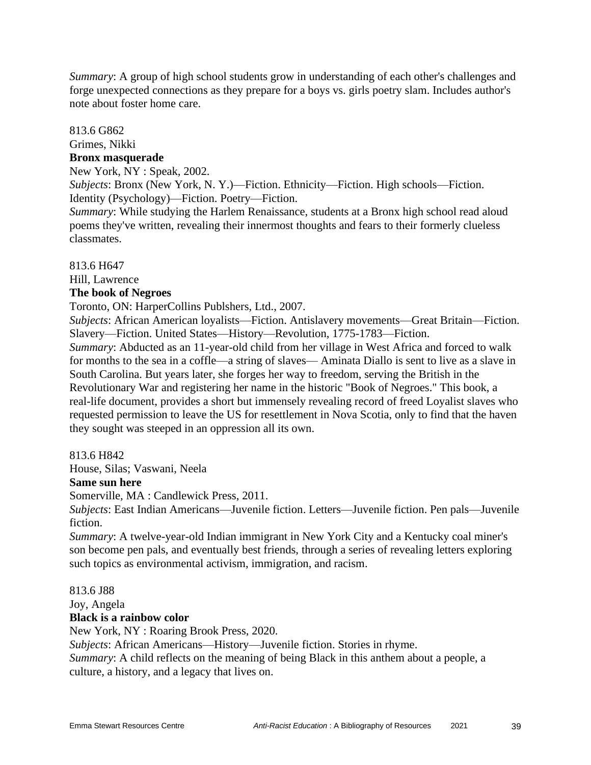*Summary*: A group of high school students grow in understanding of each other's challenges and forge unexpected connections as they prepare for a boys vs. girls poetry slam. Includes author's note about foster home care.

#### 813.6 G862

Grimes, Nikki

#### **Bronx masquerade**

New York, NY : Speak, 2002.

*Subjects*: Bronx (New York, N. Y.)—Fiction. Ethnicity—Fiction. High schools—Fiction. Identity (Psychology)—Fiction. Poetry—Fiction.

*Summary*: While studying the Harlem Renaissance, students at a Bronx high school read aloud poems they've written, revealing their innermost thoughts and fears to their formerly clueless classmates.

813.6 H647

Hill, Lawrence

#### **The book of Negroes**

Toronto, ON: HarperCollins Publshers, Ltd., 2007.

*Subjects*: African American loyalists—Fiction. Antislavery movements—Great Britain—Fiction. Slavery—Fiction. United States—History—Revolution, 1775-1783—Fiction.

*Summary*: Abducted as an 11-year-old child from her village in West Africa and forced to walk for months to the sea in a coffle—a string of slaves— Aminata Diallo is sent to live as a slave in South Carolina. But years later, she forges her way to freedom, serving the British in the Revolutionary War and registering her name in the historic "Book of Negroes." This book, a real-life document, provides a short but immensely revealing record of freed Loyalist slaves who requested permission to leave the US for resettlement in Nova Scotia, only to find that the haven they sought was steeped in an oppression all its own.

#### 813.6 H842

House, Silas; Vaswani, Neela

#### **Same sun here**

Somerville, MA : Candlewick Press, 2011.

*Subjects*: East Indian Americans—Juvenile fiction. Letters—Juvenile fiction. Pen pals—Juvenile fiction.

*Summary*: A twelve-year-old Indian immigrant in New York City and a Kentucky coal miner's son become pen pals, and eventually best friends, through a series of revealing letters exploring such topics as environmental activism, immigration, and racism.

#### 813.6 J88

Joy, Angela

#### **Black is a rainbow color**

New York, NY : Roaring Brook Press, 2020.

*Subjects*: African Americans—History—Juvenile fiction. Stories in rhyme.

*Summary*: A child reflects on the meaning of being Black in this anthem about a people, a culture, a history, and a legacy that lives on.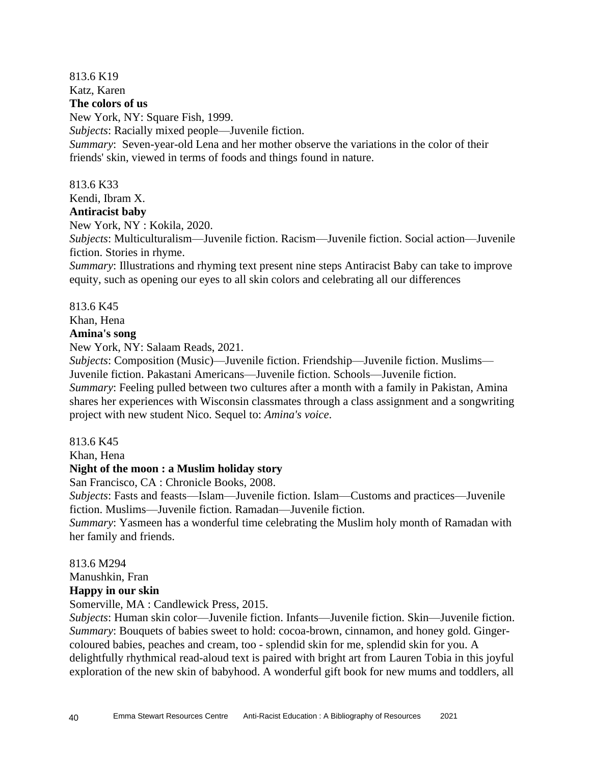## 813.6 K19

Katz, Karen

## **The colors of us**

New York, NY: Square Fish, 1999.

*Subjects*: Racially mixed people—Juvenile fiction.

*Summary*: Seven-year-old Lena and her mother observe the variations in the color of their friends' skin, viewed in terms of foods and things found in nature.

## 813.6 K33

Kendi, Ibram X.

## **Antiracist baby**

New York, NY : Kokila, 2020.

*Subjects*: Multiculturalism—Juvenile fiction. Racism—Juvenile fiction. Social action—Juvenile fiction. Stories in rhyme.

*Summary*: Illustrations and rhyming text present nine steps Antiracist Baby can take to improve equity, such as opening our eyes to all skin colors and celebrating all our differences

## 813.6 K45

Khan, Hena

## **Amina's song**

New York, NY: Salaam Reads, 2021.

*Subjects*: Composition (Music)—Juvenile fiction. Friendship—Juvenile fiction. Muslims— Juvenile fiction. Pakastani Americans—Juvenile fiction. Schools—Juvenile fiction. *Summary*: Feeling pulled between two cultures after a month with a family in Pakistan, Amina shares her experiences with Wisconsin classmates through a class assignment and a songwriting

project with new student Nico. Sequel to: *Amina's voice*.

## 813.6 K45

Khan, Hena

## **Night of the moon : a Muslim holiday story**

San Francisco, CA : Chronicle Books, 2008.

*Subjects*: Fasts and feasts—Islam—Juvenile fiction. Islam—Customs and practices—Juvenile fiction. Muslims—Juvenile fiction. Ramadan—Juvenile fiction.

*Summary*: Yasmeen has a wonderful time celebrating the Muslim holy month of Ramadan with her family and friends.

## 813.6 M294

Manushkin, Fran

**Happy in our skin**

Somerville, MA : Candlewick Press, 2015.

*Subjects*: Human skin color—Juvenile fiction. Infants—Juvenile fiction. Skin—Juvenile fiction. *Summary*: Bouquets of babies sweet to hold: cocoa-brown, cinnamon, and honey gold. Gingercoloured babies, peaches and cream, too - splendid skin for me, splendid skin for you. A delightfully rhythmical read-aloud text is paired with bright art from Lauren Tobia in this joyful exploration of the new skin of babyhood. A wonderful gift book for new mums and toddlers, all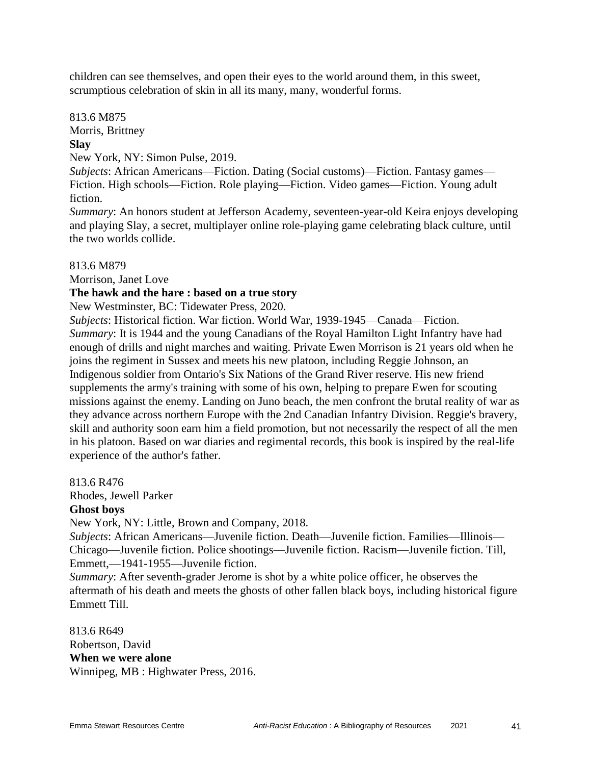children can see themselves, and open their eyes to the world around them, in this sweet, scrumptious celebration of skin in all its many, many, wonderful forms.

813.6 M875 Morris, Brittney **Slay**

New York, NY: Simon Pulse, 2019.

*Subjects*: African Americans—Fiction. Dating (Social customs)—Fiction. Fantasy games— Fiction. High schools—Fiction. Role playing—Fiction. Video games—Fiction. Young adult fiction.

*Summary*: An honors student at Jefferson Academy, seventeen-year-old Keira enjoys developing and playing Slay, a secret, multiplayer online role-playing game celebrating black culture, until the two worlds collide.

813.6 M879

Morrison, Janet Love

#### **The hawk and the hare : based on a true story**

New Westminster, BC: Tidewater Press, 2020.

*Subjects*: Historical fiction. War fiction. World War, 1939-1945—Canada—Fiction. *Summary*: It is 1944 and the young Canadians of the Royal Hamilton Light Infantry have had enough of drills and night marches and waiting. Private Ewen Morrison is 21 years old when he joins the regiment in Sussex and meets his new platoon, including Reggie Johnson, an Indigenous soldier from Ontario's Six Nations of the Grand River reserve. His new friend supplements the army's training with some of his own, helping to prepare Ewen for scouting missions against the enemy. Landing on Juno beach, the men confront the brutal reality of war as they advance across northern Europe with the 2nd Canadian Infantry Division. Reggie's bravery, skill and authority soon earn him a field promotion, but not necessarily the respect of all the men in his platoon. Based on war diaries and regimental records, this book is inspired by the real-life experience of the author's father.

813.6 R476

Rhodes, Jewell Parker

#### **Ghost boys**

New York, NY: Little, Brown and Company, 2018.

*Subjects*: African Americans—Juvenile fiction. Death—Juvenile fiction. Families—Illinois— Chicago—Juvenile fiction. Police shootings—Juvenile fiction. Racism—Juvenile fiction. Till, Emmett,—1941-1955—Juvenile fiction.

*Summary*: After seventh-grader Jerome is shot by a white police officer, he observes the aftermath of his death and meets the ghosts of other fallen black boys, including historical figure Emmett Till.

813.6 R649 Robertson, David **When we were alone** Winnipeg, MB : Highwater Press, 2016.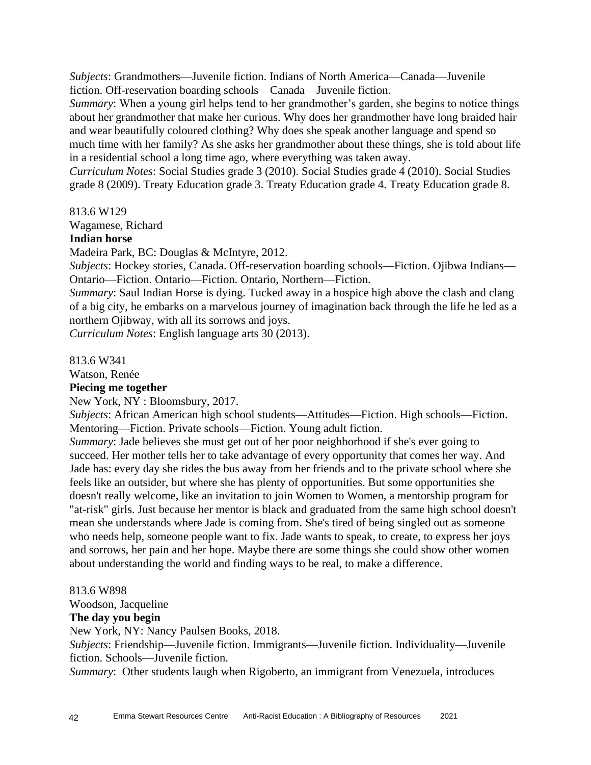*Subjects*: Grandmothers—Juvenile fiction. Indians of North America—Canada—Juvenile fiction. Off-reservation boarding schools—Canada—Juvenile fiction.

*Summary*: When a young girl helps tend to her grandmother's garden, she begins to notice things about her grandmother that make her curious. Why does her grandmother have long braided hair and wear beautifully coloured clothing? Why does she speak another language and spend so much time with her family? As she asks her grandmother about these things, she is told about life in a residential school a long time ago, where everything was taken away.

*Curriculum Notes*: Social Studies grade 3 (2010). Social Studies grade 4 (2010). Social Studies grade 8 (2009). Treaty Education grade 3. Treaty Education grade 4. Treaty Education grade 8.

813.6 W129

Wagamese, Richard

## **Indian horse**

Madeira Park, BC: Douglas & McIntyre, 2012.

*Subjects*: Hockey stories, Canada. Off-reservation boarding schools—Fiction. Ojibwa Indians— Ontario—Fiction. Ontario—Fiction. Ontario, Northern—Fiction.

*Summary*: Saul Indian Horse is dying. Tucked away in a hospice high above the clash and clang of a big city, he embarks on a marvelous journey of imagination back through the life he led as a northern Ojibway, with all its sorrows and joys.

*Curriculum Notes*: English language arts 30 (2013).

813.6 W341

Watson, Renée

## **Piecing me together**

New York, NY : Bloomsbury, 2017.

*Subjects*: African American high school students—Attitudes—Fiction. High schools—Fiction. Mentoring—Fiction. Private schools—Fiction. Young adult fiction.

*Summary*: Jade believes she must get out of her poor neighborhood if she's ever going to succeed. Her mother tells her to take advantage of every opportunity that comes her way. And Jade has: every day she rides the bus away from her friends and to the private school where she feels like an outsider, but where she has plenty of opportunities. But some opportunities she doesn't really welcome, like an invitation to join Women to Women, a mentorship program for "at-risk" girls. Just because her mentor is black and graduated from the same high school doesn't mean she understands where Jade is coming from. She's tired of being singled out as someone who needs help, someone people want to fix. Jade wants to speak, to create, to express her joys and sorrows, her pain and her hope. Maybe there are some things she could show other women about understanding the world and finding ways to be real, to make a difference.

#### 813.6 W898

Woodson, Jacqueline

#### **The day you begin**

New York, NY: Nancy Paulsen Books, 2018.

*Subjects*: Friendship—Juvenile fiction. Immigrants—Juvenile fiction. Individuality—Juvenile fiction. Schools—Juvenile fiction.

*Summary*: Other students laugh when Rigoberto, an immigrant from Venezuela, introduces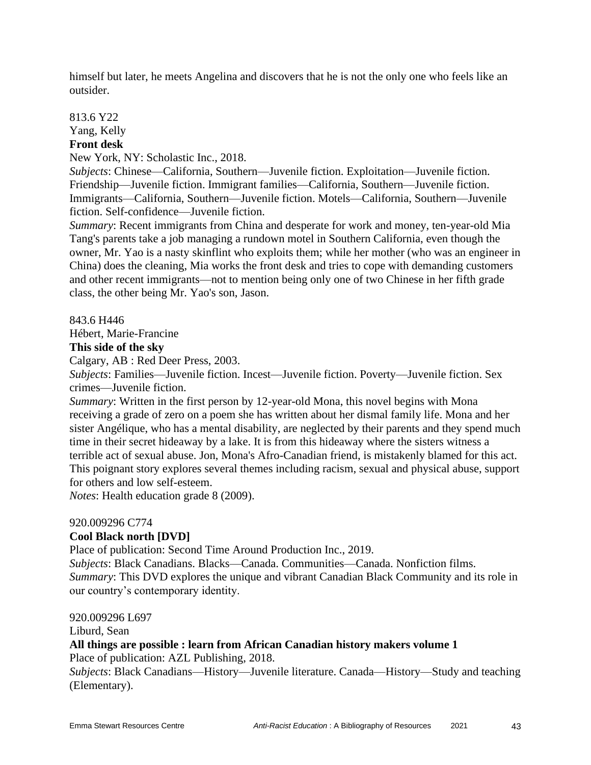himself but later, he meets Angelina and discovers that he is not the only one who feels like an outsider.

813.6 Y22 Yang, Kelly **Front desk**

New York, NY: Scholastic Inc., 2018.

*Subjects*: Chinese—California, Southern—Juvenile fiction. Exploitation—Juvenile fiction. Friendship—Juvenile fiction. Immigrant families—California, Southern—Juvenile fiction. Immigrants—California, Southern—Juvenile fiction. Motels—California, Southern—Juvenile fiction. Self-confidence—Juvenile fiction.

*Summary*: Recent immigrants from China and desperate for work and money, ten-year-old Mia Tang's parents take a job managing a rundown motel in Southern California, even though the owner, Mr. Yao is a nasty skinflint who exploits them; while her mother (who was an engineer in China) does the cleaning, Mia works the front desk and tries to cope with demanding customers and other recent immigrants—not to mention being only one of two Chinese in her fifth grade class, the other being Mr. Yao's son, Jason.

843.6 H446 Hébert, Marie-Francine

**This side of the sky**

Calgary, AB : Red Deer Press, 2003.

*Subjects*: Families—Juvenile fiction. Incest—Juvenile fiction. Poverty—Juvenile fiction. Sex crimes—Juvenile fiction.

*Summary*: Written in the first person by 12-year-old Mona, this novel begins with Mona receiving a grade of zero on a poem she has written about her dismal family life. Mona and her sister Angélique, who has a mental disability, are neglected by their parents and they spend much time in their secret hideaway by a lake. It is from this hideaway where the sisters witness a terrible act of sexual abuse. Jon, Mona's Afro-Canadian friend, is mistakenly blamed for this act. This poignant story explores several themes including racism, sexual and physical abuse, support for others and low self-esteem.

*Notes*: Health education grade 8 (2009).

#### 920.009296 C774

#### **Cool Black north [DVD]**

Place of publication: Second Time Around Production Inc., 2019.

*Subjects*: Black Canadians. Blacks—Canada. Communities—Canada. Nonfiction films. *Summary*: This DVD explores the unique and vibrant Canadian Black Community and its role in our country's contemporary identity.

920.009296 L697

Liburd, Sean

**All things are possible : learn from African Canadian history makers volume 1**

Place of publication: AZL Publishing, 2018.

*Subjects*: Black Canadians—History—Juvenile literature. Canada—History—Study and teaching (Elementary).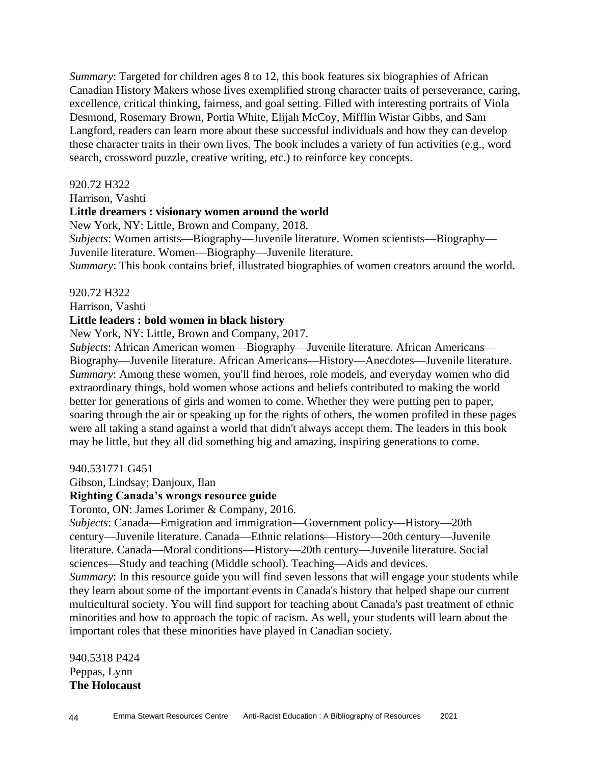*Summary*: Targeted for children ages 8 to 12, this book features six biographies of African Canadian History Makers whose lives exemplified strong character traits of perseverance, caring, excellence, critical thinking, fairness, and goal setting. Filled with interesting portraits of Viola Desmond, Rosemary Brown, Portia White, Elijah McCoy, Mifflin Wistar Gibbs, and Sam Langford, readers can learn more about these successful individuals and how they can develop these character traits in their own lives. The book includes a variety of fun activities (e.g., word search, crossword puzzle, creative writing, etc.) to reinforce key concepts.

#### 920.72 H322

Harrison, Vashti

#### **Little dreamers : visionary women around the world**

New York, NY: Little, Brown and Company, 2018.

*Subjects*: Women artists—Biography—Juvenile literature. Women scientists—Biography— Juvenile literature. Women—Biography—Juvenile literature.

*Summary*: This book contains brief, illustrated biographies of women creators around the world.

920.72 H322

Harrison, Vashti

#### **Little leaders : bold women in black history**

New York, NY: Little, Brown and Company, 2017.

*Subjects*: African American women—Biography—Juvenile literature. African Americans— Biography—Juvenile literature. African Americans—History—Anecdotes—Juvenile literature. *Summary*: Among these women, you'll find heroes, role models, and everyday women who did extraordinary things, bold women whose actions and beliefs contributed to making the world better for generations of girls and women to come. Whether they were putting pen to paper, soaring through the air or speaking up for the rights of others, the women profiled in these pages were all taking a stand against a world that didn't always accept them. The leaders in this book may be little, but they all did something big and amazing, inspiring generations to come.

940.531771 G451

Gibson, Lindsay; Danjoux, Ilan

## **Righting Canada's wrongs resource guide**

Toronto, ON: James Lorimer & Company, 2016.

*Subjects*: Canada—Emigration and immigration—Government policy—History—20th century—Juvenile literature. Canada—Ethnic relations—History—20th century—Juvenile literature. Canada—Moral conditions—History—20th century—Juvenile literature. Social sciences—Study and teaching (Middle school). Teaching—Aids and devices.

*Summary*: In this resource guide you will find seven lessons that will engage your students while they learn about some of the important events in Canada's history that helped shape our current multicultural society. You will find support for teaching about Canada's past treatment of ethnic minorities and how to approach the topic of racism. As well, your students will learn about the important roles that these minorities have played in Canadian society.

940.5318 P424 Peppas, Lynn **The Holocaust**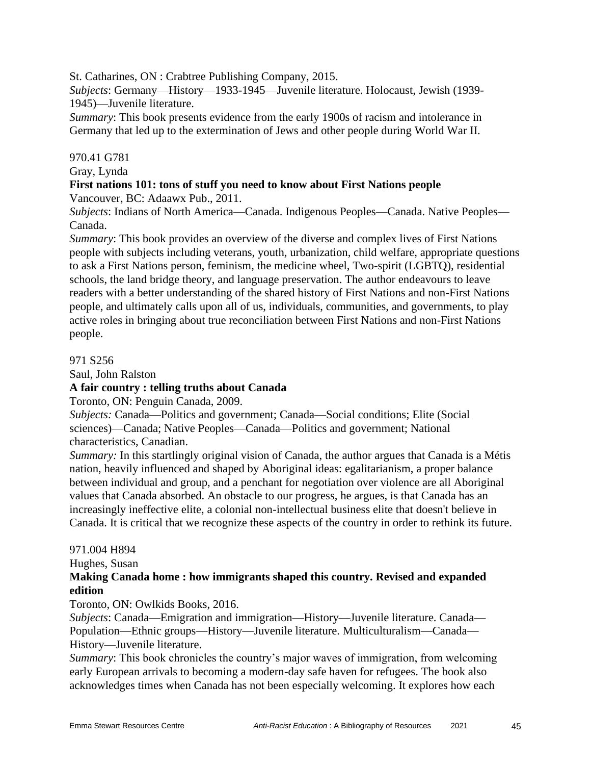St. Catharines, ON : Crabtree Publishing Company, 2015.

*Subjects*: Germany—History—1933-1945—Juvenile literature. Holocaust, Jewish (1939- 1945)—Juvenile literature.

*Summary*: This book presents evidence from the early 1900s of racism and intolerance in Germany that led up to the extermination of Jews and other people during World War II.

#### 970.41 G781

Gray, Lynda

## **First nations 101: tons of stuff you need to know about First Nations people**

Vancouver, BC: Adaawx Pub., 2011.

*Subjects*: Indians of North America—Canada. Indigenous Peoples—Canada. Native Peoples— Canada.

*Summary*: This book provides an overview of the diverse and complex lives of First Nations people with subjects including veterans, youth, urbanization, child welfare, appropriate questions to ask a First Nations person, feminism, the medicine wheel, Two-spirit (LGBTQ), residential schools, the land bridge theory, and language preservation. The author endeavours to leave readers with a better understanding of the shared history of First Nations and non-First Nations people, and ultimately calls upon all of us, individuals, communities, and governments, to play active roles in bringing about true reconciliation between First Nations and non-First Nations people.

#### 971 S256

Saul, John Ralston

## **A fair country : telling truths about Canada**

Toronto, ON: Penguin Canada, 2009.

*Subjects:* Canada—Politics and government; Canada—Social conditions; Elite (Social sciences)—Canada; Native Peoples—Canada—Politics and government; National characteristics, Canadian.

*Summary:* In this startlingly original vision of Canada, the author argues that Canada is a Métis nation, heavily influenced and shaped by Aboriginal ideas: egalitarianism, a proper balance between individual and group, and a penchant for negotiation over violence are all Aboriginal values that Canada absorbed. An obstacle to our progress, he argues, is that Canada has an increasingly ineffective elite, a colonial non-intellectual business elite that doesn't believe in Canada. It is critical that we recognize these aspects of the country in order to rethink its future.

## 971.004 H894

Hughes, Susan

#### **Making Canada home : how immigrants shaped this country. Revised and expanded edition**

#### Toronto, ON: Owlkids Books, 2016.

*Subjects*: Canada—Emigration and immigration—History—Juvenile literature. Canada— Population—Ethnic groups—History—Juvenile literature. Multiculturalism—Canada— History—Juvenile literature.

*Summary*: This book chronicles the country's major waves of immigration, from welcoming early European arrivals to becoming a modern-day safe haven for refugees. The book also acknowledges times when Canada has not been especially welcoming. It explores how each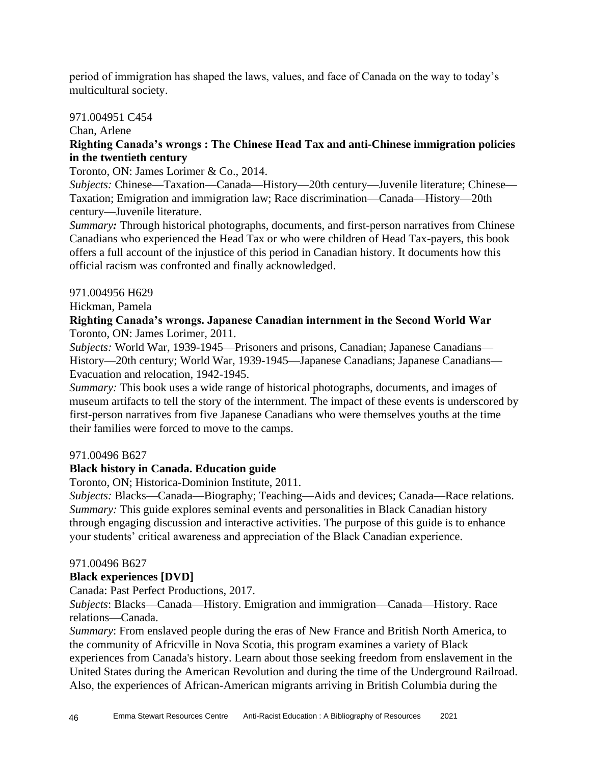period of immigration has shaped the laws, values, and face of Canada on the way to today's multicultural society.

#### 971.004951 C454

Chan, Arlene

## **Righting Canada's wrongs : The Chinese Head Tax and anti-Chinese immigration policies in the twentieth century**

#### Toronto, ON: James Lorimer & Co., 2014.

*Subjects:* Chinese—Taxation—Canada—History—20th century—Juvenile literature; Chinese— Taxation; Emigration and immigration law; Race discrimination—Canada—History—20th century—Juvenile literature.

*Summary:* Through historical photographs, documents, and first-person narratives from Chinese Canadians who experienced the Head Tax or who were children of Head Tax-payers, this book offers a full account of the injustice of this period in Canadian history. It documents how this official racism was confronted and finally acknowledged.

#### 971.004956 H629

Hickman, Pamela

## **Righting Canada's wrongs. Japanese Canadian internment in the Second World War** Toronto, ON: James Lorimer, 2011.

*Subjects:* World War, 1939-1945—Prisoners and prisons, Canadian; Japanese Canadians— History—20th century; World War, 1939-1945—Japanese Canadians; Japanese Canadians— Evacuation and relocation, 1942-1945.

*Summary:* This book uses a wide range of historical photographs, documents, and images of museum artifacts to tell the story of the internment. The impact of these events is underscored by first-person narratives from five Japanese Canadians who were themselves youths at the time their families were forced to move to the camps.

#### 971.00496 B627

## **Black history in Canada. Education guide**

Toronto, ON; Historica-Dominion Institute, 2011.

*Subjects:* Blacks—Canada—Biography; Teaching—Aids and devices; Canada—Race relations. *Summary:* This guide explores seminal events and personalities in Black Canadian history through engaging discussion and interactive activities. The purpose of this guide is to enhance your students' critical awareness and appreciation of the Black Canadian experience.

#### 971.00496 B627

#### **Black experiences [DVD]**

Canada: Past Perfect Productions, 2017.

*Subjects*: Blacks—Canada—History. Emigration and immigration—Canada—History. Race relations—Canada.

*Summary*: From enslaved people during the eras of New France and British North America, to the community of Africville in Nova Scotia, this program examines a variety of Black experiences from Canada's history. Learn about those seeking freedom from enslavement in the United States during the American Revolution and during the time of the Underground Railroad. Also, the experiences of African-American migrants arriving in British Columbia during the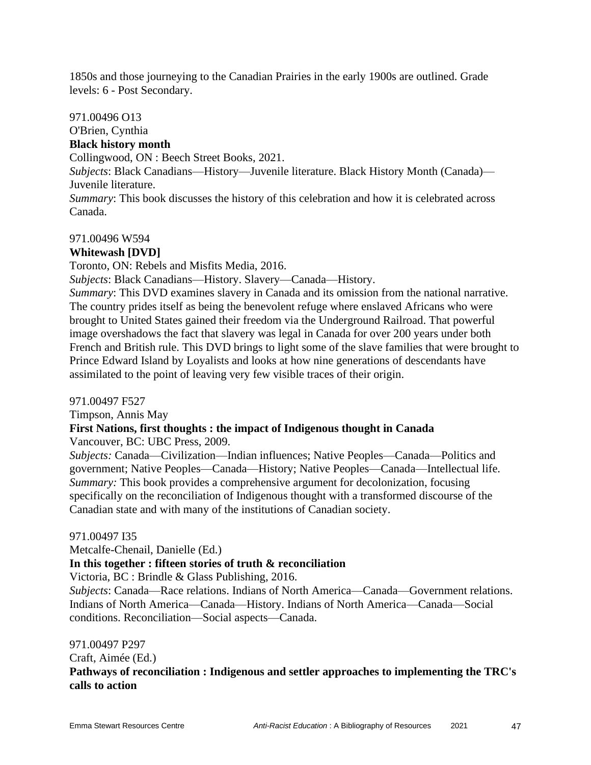1850s and those journeying to the Canadian Prairies in the early 1900s are outlined. Grade levels: 6 - Post Secondary.

#### 971.00496 O13

# O'Brien, Cynthia

## **Black history month**

Collingwood, ON : Beech Street Books, 2021.

*Subjects*: Black Canadians—History—Juvenile literature. Black History Month (Canada)— Juvenile literature.

*Summary*: This book discusses the history of this celebration and how it is celebrated across Canada.

#### 971.00496 W594

## **Whitewash [DVD]**

Toronto, ON: Rebels and Misfits Media, 2016.

*Subjects*: Black Canadians—History. Slavery—Canada—History.

*Summary*: This DVD examines slavery in Canada and its omission from the national narrative. The country prides itself as being the benevolent refuge where enslaved Africans who were brought to United States gained their freedom via the Underground Railroad. That powerful image overshadows the fact that slavery was legal in Canada for over 200 years under both French and British rule. This DVD brings to light some of the slave families that were brought to Prince Edward Island by Loyalists and looks at how nine generations of descendants have assimilated to the point of leaving very few visible traces of their origin.

#### 971.00497 F527

Timpson, Annis May

## **First Nations, first thoughts : the impact of Indigenous thought in Canada**

Vancouver, BC: UBC Press, 2009.

*Subjects:* Canada—Civilization—Indian influences; Native Peoples—Canada—Politics and government; Native Peoples—Canada—History; Native Peoples—Canada—Intellectual life. *Summary:* This book provides a comprehensive argument for decolonization, focusing specifically on the reconciliation of Indigenous thought with a transformed discourse of the Canadian state and with many of the institutions of Canadian society.

## 971.00497 I35

Metcalfe-Chenail, Danielle (Ed.)

## **In this together : fifteen stories of truth & reconciliation**

Victoria, BC : Brindle & Glass Publishing, 2016.

*Subjects*: Canada—Race relations. Indians of North America—Canada—Government relations. Indians of North America—Canada—History. Indians of North America—Canada—Social conditions. Reconciliation—Social aspects—Canada.

#### 971.00497 P297

Craft, Aimée (Ed.)

**Pathways of reconciliation : Indigenous and settler approaches to implementing the TRC's calls to action**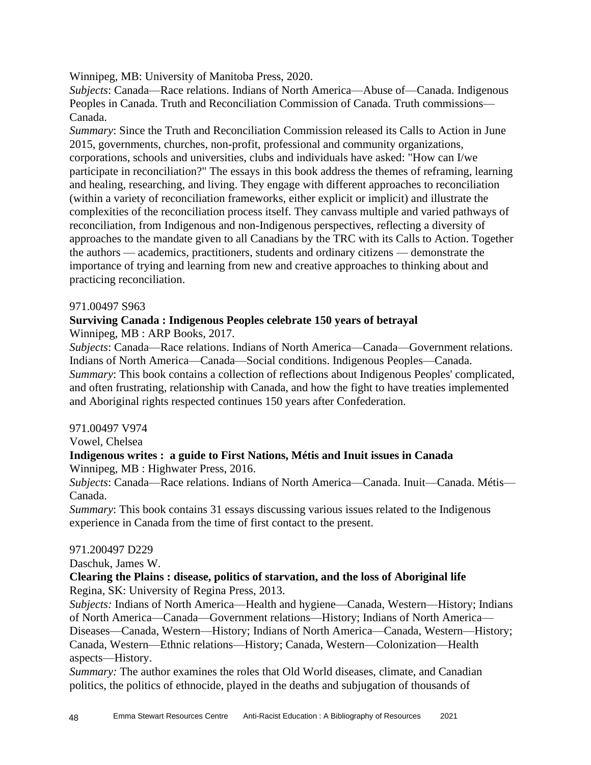Winnipeg, MB: University of Manitoba Press, 2020.

*Subjects*: Canada—Race relations. Indians of North America—Abuse of—Canada. Indigenous Peoples in Canada. Truth and Reconciliation Commission of Canada. Truth commissions— Canada.

*Summary*: Since the Truth and Reconciliation Commission released its Calls to Action in June 2015, governments, churches, non-profit, professional and community organizations, corporations, schools and universities, clubs and individuals have asked: "How can I/we participate in reconciliation?" The essays in this book address the themes of reframing, learning and healing, researching, and living. They engage with different approaches to reconciliation (within a variety of reconciliation frameworks, either explicit or implicit) and illustrate the complexities of the reconciliation process itself. They canvass multiple and varied pathways of reconciliation, from Indigenous and non-Indigenous perspectives, reflecting a diversity of approaches to the mandate given to all Canadians by the TRC with its Calls to Action. Together the authors — academics, practitioners, students and ordinary citizens — demonstrate the importance of trying and learning from new and creative approaches to thinking about and practicing reconciliation.

#### 971.00497 S963

## **Surviving Canada : Indigenous Peoples celebrate 150 years of betrayal**

Winnipeg, MB : ARP Books, 2017.

*Subjects*: Canada—Race relations. Indians of North America—Canada—Government relations. Indians of North America—Canada—Social conditions. Indigenous Peoples—Canada. *Summary*: This book contains a collection of reflections about Indigenous Peoples' complicated, and often frustrating, relationship with Canada, and how the fight to have treaties implemented and Aboriginal rights respected continues 150 years after Confederation.

#### 971.00497 V974

Vowel, Chelsea

#### **Indigenous writes : a guide to First Nations, Métis and Inuit issues in Canada** Winnipeg, MB : Highwater Press, 2016.

*Subjects*: Canada—Race relations. Indians of North America—Canada. Inuit—Canada. Métis— Canada.

*Summary*: This book contains 31 essays discussing various issues related to the Indigenous experience in Canada from the time of first contact to the present.

#### 971.200497 D229

Daschuk, James W.

#### **Clearing the Plains : disease, politics of starvation, and the loss of Aboriginal life** Regina, SK: University of Regina Press, 2013.

*Subjects:* Indians of North America—Health and hygiene—Canada, Western—History; Indians of North America—Canada—Government relations—History; Indians of North America— Diseases—Canada, Western—History; Indians of North America—Canada, Western—History; Canada, Western—Ethnic relations—History; Canada, Western—Colonization—Health aspects—History.

*Summary:* The author examines the roles that Old World diseases, climate, and Canadian politics, the politics of ethnocide, played in the deaths and subjugation of thousands of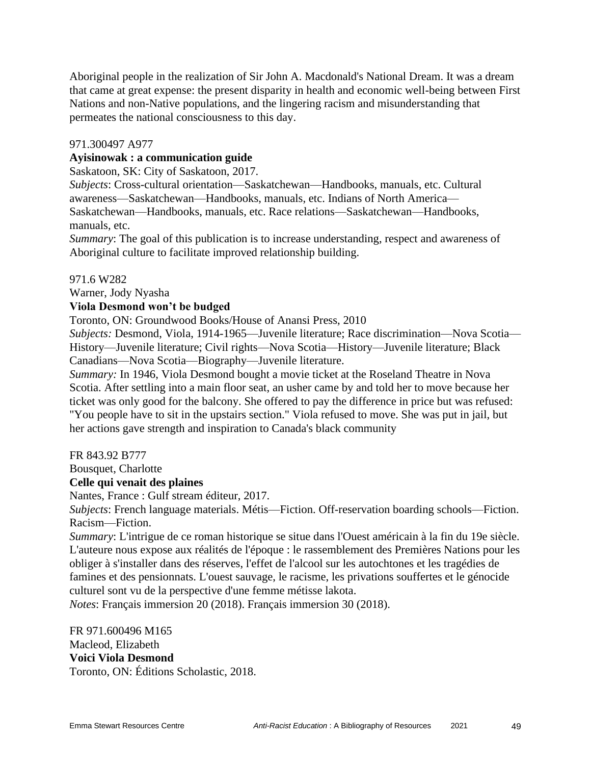Aboriginal people in the realization of Sir John A. Macdonald's National Dream. It was a dream that came at great expense: the present disparity in health and economic well-being between First Nations and non-Native populations, and the lingering racism and misunderstanding that permeates the national consciousness to this day.

#### 971.300497 A977

#### **Ayisinowak : a communication guide**

Saskatoon, SK: City of Saskatoon, 2017.

*Subjects*: Cross-cultural orientation—Saskatchewan—Handbooks, manuals, etc. Cultural awareness—Saskatchewan—Handbooks, manuals, etc. Indians of North America— Saskatchewan—Handbooks, manuals, etc. Race relations—Saskatchewan—Handbooks, manuals, etc.

*Summary*: The goal of this publication is to increase understanding, respect and awareness of Aboriginal culture to facilitate improved relationship building.

#### 971.6 W282

Warner, Jody Nyasha

#### **Viola Desmond won't be budged**

Toronto, ON: Groundwood Books/House of Anansi Press, 2010

*Subjects:* Desmond, Viola, 1914-1965—Juvenile literature; Race discrimination—Nova Scotia— History—Juvenile literature; Civil rights—Nova Scotia—History—Juvenile literature; Black Canadians—Nova Scotia—Biography—Juvenile literature.

*Summary:* In 1946, Viola Desmond bought a movie ticket at the Roseland Theatre in Nova Scotia. After settling into a main floor seat, an usher came by and told her to move because her ticket was only good for the balcony. She offered to pay the difference in price but was refused: "You people have to sit in the upstairs section." Viola refused to move. She was put in jail, but her actions gave strength and inspiration to Canada's black community

FR 843.92 B777

Bousquet, Charlotte

#### **Celle qui venait des plaines**

Nantes, France : Gulf stream éditeur, 2017.

*Subjects*: French language materials. Métis—Fiction. Off-reservation boarding schools—Fiction. Racism—Fiction.

*Summary*: L'intrigue de ce roman historique se situe dans l'Ouest américain à la fin du 19e siècle. L'auteure nous expose aux réalités de l'époque : le rassemblement des Premières Nations pour les obliger à s'installer dans des réserves, l'effet de l'alcool sur les autochtones et les tragédies de famines et des pensionnats. L'ouest sauvage, le racisme, les privations souffertes et le génocide culturel sont vu de la perspective d'une femme métisse lakota.

*Notes*: Français immersion 20 (2018). Français immersion 30 (2018).

FR 971.600496 M165 Macleod, Elizabeth **Voici Viola Desmond** Toronto, ON: Éditions Scholastic, 2018.